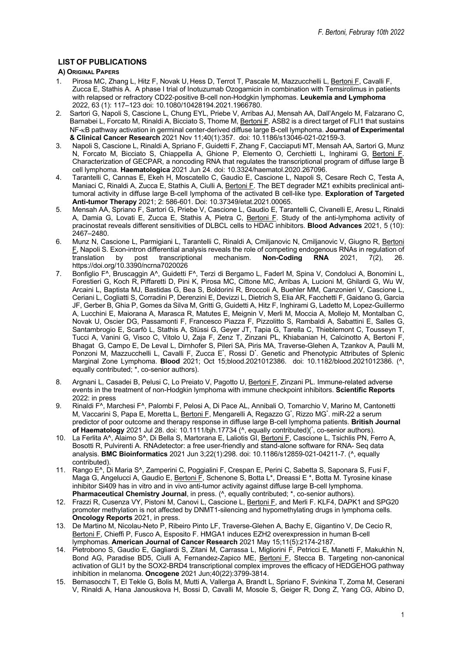# **LIST OF PUBLICATIONS**

### **A) ORIGINAL PAPERS**

- 1. Pirosa MC, Zhang L, Hitz F, Novak U, Hess D, Terrot T, Pascale M, Mazzucchelli L, Bertoni F, Cavalli F, Zucca E, Stathis A. A phase I trial of Inotuzumab Ozogamicin in combination with Temsirolimus in patients with relapsed or refractory CD22-positive B-cell non-Hodgkin lymphomas. **Leukemia and Lymphoma** 2022, 63 (1): 117–123 doi: 10.1080/10428194.2021.1966780.
- 2. Sartori G, Napoli S, Cascione L, Chung EYL, Priebe V, Arribas AJ, Mensah AA, Dall'Angelo M, Falzarano C, Barnabei L, Forcato M, Rinaldi A, Bicciato S, Thome M, Bertoni F. ASB2 is a direct target of FLI1 that sustains NF-kB pathway activation in germinal center-derived diffuse large B-cell lymphoma. **Journal of Experimental & Clinical Cancer Research** 2021 Nov 11;40(1):357. doi: 10.1186/s13046-021-02159-3.
- 3. Napoli S, Cascione L, Rinaldi A, Spriano F, Guidetti F, Zhang F, Cacciaputi MT, Mensah AA, Sartori G, Munz N, Forcato M, Bicciato S, Chiappella A, Ghione P, Elemento O, Cerchietti L, Inghirami G, Bertoni F. Characterization of GECPAR, a noncoding RNA that regulates the transcriptional program of diffuse large B cell lymphoma. **Haematologica** 2021 Jun 24. doi: 10.3324/haematol.2020.267096.
- 4. Tarantelli C, Cannas E, Ekeh H, Moscatello C, Gaudio E, Cascione L, Napoli S, Cesare Rech C, Testa A, Maniaci C, Rinaldi A, Zucca E, Stathis A, Ciulli A, Bertoni F. The BET degrader MZ1 exhibits preclinical antitumoral activity in diffuse large B-cell lymphoma of the activated B cell-like type. **Exploration of Targeted Anti-tumor Therapy** 2021; 2: 586-601. Doi: 10.37349/etat.2021.00065.
- 5. Mensah AA, Spriano F, Sartori G, Priebe V, Cascione L, Gaudio E, Tarantelli C, Civanelli E, Aresu L, Rinaldi A, Damia G, Lovati E, Zucca E, Stathis A, Pietra C, <u>Bertoni F</u>. Study of the anti-lymphoma activity of pracinostat reveals different sensitivities of DLBCL cells to HDAC inhibitors. **Blood Advances** 2021, 5 (10): 2467–2480.
- 6. Munz N, Cascione L, Parmigiani L, Tarantelli C, Rinaldi A, Cmiljanovic N, Cmiljanovic V, Giugno R, Bertoni F, Napoli S. Exon-intron differential analysis reveals the role of competing endogenous RNAs in regulation of translation by post transcriptional mechanism. **Non-Coding RNA** 2021, 7(2), 26. https://doi.org/10.3390/ncrna7020026
- 7. Bonfiglio F^, Bruscaggin A^, Guidetti F^, Terzi di Bergamo L, Faderl M, Spina V, Condoluci A, Bonomini L, Forestieri G, Koch R, Piffaretti D, Pini K, Pirosa MC, Cittone MC, Arribas A, Lucioni M, Ghilardi G, Wu W, Arcaini L, Baptista MJ, Bastidas G, Bea S, Boldorini R, Broccoli A, Buehler MM, Canzonieri V, Cascione L, Ceriani L, Cogliatti S, Corradini P, Derenzini E, Devizzi L, Dietrich S, Elia AR, Facchetti F, Gaidano G, Garcia JF, Gerber B, Ghia P, Gomes da Silva M, Gritti G, Guidetti A, Hitz F, Inghirami G, Ladetto M, Lopez-Guillermo A, Lucchini E, Maiorana A, Marasca R, Matutes E, Meignin V, Merli M, Moccia A, Mollejo M, Montalban C, Novak U, Oscier DG, Passamonti F, Francesco Piazza F, Pizzolitto S, Rambaldi A, Sabattini E, Salles G, Santambrogio E, Scarfò L, Stathis A, Stüssi G, Geyer JT, Tapia G, Tarella C, Thieblemont C, Tousseyn T, Tucci A, Vanini G, Visco C, Vitolo U, Zaja F, Zenz T, Zinzani PL, Khiabanian H, Calcinotto A, Bertoni F, Bhagat G, Campo E, De Leval L, Dirnhofer S, Pileri SA, Piris MA, Traverse-Glehen A, Tzankov A, Paulli M, Ponzoni M, Mazzucchelli L, Cavalli F, Zucca E<sup>\*</sup>, Rossi D<sup>\*</sup>. Genetic and Phenotypic Attributes of Splenic Marginal Zone Lymphoma. **Blood** 2021; Oct 15;blood.2021012386. doi: 10.1182/blood.2021012386. (^, equally contributed; \*, co-senior authors).
- 8. Argnani L, Casadei B, Pelusi C, Lo Preiato V, Pagotto U, Bertoni F, Zinzani PL. Immune-related adverse events in the treatment of non-Hodgkin lymphoma with immune checkpoint inhibitors. **Scientific Reports** 2022: in press
- 9. Rinaldi F^, Marchesi F^, Palombi F, Pelosi A, Di Pace AL, Annibali O, Tomarchio V, Marino M, Cantonetti M, Vaccarini S, Papa E, Moretta L, <u>Bertoni F,</u> Mengarelli A, Regazzo G<sup>\*</sup>, Rizzo MG<sup>\*</sup>. miR-22 a serum predictor of poor outcome and therapy response in diffuse large B-cell lymphoma patients. **British Journal**  of Haematology 2021 Jul 28. doi: 10.1111/bjh.17734 (^, equally contributed)(\*, co-senior authors).
- 10. La Ferlita A^, Alaimo S^, Di Bella S, Martorana E, Laliotis GI, Bertoni F, Cascione L, Tsichlis PN, Ferro A, Bosotti R, Pulvirenti A. RNAdetector: a free user-friendly and stand-alone software for RNA- Seq data analysis. **BMC Bioinformatics** 2021 Jun 3;22(1):298. doi: 10.1186/s12859-021-04211-7. (^, equally contributed).
- 11. Rango E^, Di Maria S^, Zamperini C, Poggialini F, Crespan E, Perini C, Sabetta S, Saponara S, Fusi F, Maga G, Angelucci A, Gaudio E, Bertoni F, Schenone S, Botta L\*, Dreassi E \*, Botta M. Tyrosine kinase inhibitor Si409 has in vitro and in vivo anti-tumor activity against diffuse large B-cell lymphoma. **Pharmaceutical Chemistry Journal**, in press. (^, equally contributed; \*, co-senior authors).
- 12. Frazzi R, Cusenza VY, Pistoni M, Canovi L, Cascione L, Bertoni F, and Merli F. KLF4, DAPK1 and SPG20 promoter methylation is not affected by DNMT1-silencing and hypomethylating drugs in lymphoma cells. **Oncology Reports** 2021, in press.
- 13. De Martino M, Nicolau-Neto P, Ribeiro Pinto LF, Traverse-Glehen A, Bachy E, Gigantino V, De Cecio R, Bertoni F, Chieffi P, Fusco A, Esposito F. HMGA1 induces EZH2 overexpression in human B-cell lymphomas. **American Journal of Cancer Research** 2021 May 15;11(5):2174-2187.
- 14. Pietrobono S, Gaudio E, Gagliardi S, Zitani M, Carrassa L, Migliorini F, Petricci E, Manetti F, Makukhin N, Bond AG, Paradise BD5, Ciulli A, Fernandez-Zapico ME, Bertoni F, Stecca B. Targeting non-canonical activation of GLI1 by the SOX2-BRD4 transcriptional complex improves the efficacy of HEDGEHOG pathway inhibition in melanoma. **Oncogene** 2021 Jun;40(22):3799-3814.
- 15. Bernasocchi T, El Tekle G, Bolis M, Mutti A, Vallerga A, Brandt L, Spriano F, Svinkina T, Zoma M, Ceserani V, Rinaldi A, Hana Janouskova H, Bossi D, Cavalli M, Mosole S, Geiger R, Dong Z, Yang CG, Albino D,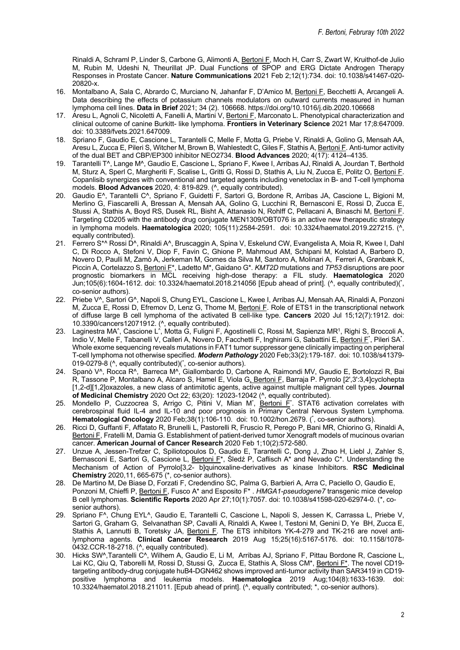Rinaldi A, Schraml P, Linder S, Carbone G, Alimonti A, Bertoni F, Moch H, Carr S, Zwart W, Kruithof-de Julio M, Rubin M, Udeshi N, Theurillat JP. Dual Functions of SPOP and ERG Dictate Androgen Therapy Responses in Prostate Cancer. **Nature Communications** 2021 Feb 2;12(1):734. doi: 10.1038/s41467-020- 20820-x.

- 16. Montalbano A, Sala C, Abrardo C, Murciano N, Jahanfar F, D'Amico M, Bertoni F, Becchetti A, Arcangeli A. Data describing the effects of potassium channels modulators on outward currents measured in human lymphoma cell lines. **Data in Brief** 2021; 34 (2). 106668. https://doi.org/10.1016/j.dib.2020.106668
- 17. Aresu L, Agnoli C, Nicoletti A, Fanelli A, Martini V, Bertoni F, Marconato L. Phenotypical characterization and clinical outcome of canine Burkitt- like lymphoma. **Frontiers in Veterinary Science** 2021 Mar 17;8:647009. doi: 10.3389/fvets.2021.647009.
- 18. Spriano F, Gaudio E, Cascione L, Tarantelli C, Melle F, Motta G, Priebe V, Rinaldi A, Golino G, Mensah AA, Aresu L, Zucca E, Pileri S, Witcher M, Brown B, Wahlestedt C, Giles F, Stathis A, Bertoni F. Anti-tumor activity of the dual BET and CBP/EP300 inhibitor NEO2734. **Blood Advances** 2020; 4(17): 4124–4135.
- 19. Tarantelli T^, Lange M^, Gaudio E, Cascione L, Spriano F, Kwee I, Arribas AJ, Rinaldi A, Jourdan T, Berthold M, Sturz A, Sperl C, Margheriti F, Scalise L, Gritti G, Rossi D, Stathis A, Liu N, Zucca E, Politz O, Bertoni F. Copanlisib synergizes with conventional and targeted agents including venetoclax in B- and T-cell lymphoma models. **Blood Advances** 2020, 4: 819-829. (^, equally contributed).
- 20. Gaudio E^, Tarantelli C^, Spriano F, Guidetti F, Sartori G, Bordone R, Arribas JA, Cascione L, Bigioni M, Merlino G, Fiascarelli A, Bressan A, Mensah AA, Golino G, Lucchini R, Bernasconi E, Rossi D, Zucca E, Stussi A, Stathis A, Boyd RS, Dusek RL, Bisht A, Attanasio N, Rohlff C, Pellacani A, Binaschi M, Bertoni F. Targeting CD205 with the antibody drug conjugate MEN1309/OBT076 is an active new therapeutic strategy in lymphoma models. **Haematologica** 2020; 105(11):2584-2591. doi: 10.3324/haematol.2019.227215. (^, equally contributed).
- 21. Ferrero S<sup>\*^</sup> Rossi D<sup>^</sup>, Rinaldi A^, Bruscaggin A, Spina V, Eskelund CW, Evangelista A, Moia R, Kwee I, Dahl C, Di Rocco A, Stefoni V, Diop F, Favin C, Ghione P, Mahmoud AM, Schipani M, Kolstad A, Barbero D, Novero D, Paulli M, Zamò A, Jerkeman M, Gomes da Silva M, Santoro A, Molinari A, Ferreri A, Grønbæk K, Piccin A, Cortelazzo S, Bertoni F\*, Ladetto M\*, Gaidano G\*. *KMT2D* mutations and *TP53* disruptions are poor prognostic biomarkers in MCL receiving high-dose therapy: a FIL study. **Haematologica** 2020 Jun;105(6):1604-1612. doi: 10.3324/haematol.2018.214056 [Epub ahead of print]. (^, equally contributed)(\* , co-senior authors).
- 22. Priebe V^, Sartori G^, Napoli S, Chung EYL, Cascione L, Kwee I, Arribas AJ, Mensah AA, Rinaldi A, Ponzoni M, Zucca E, Rossi D, Efremov D, Lenz G, Thome M, Bertoni F. Role of ETS1 in the transcriptional network of diffuse large B cell lymphoma of the activated B cell-like type. **Cancers** 2020 Jul 15;12(7):1912. doi: 10.3390/cancers12071912. (^, equally contributed).
- 23. Laginestra MA<sup>^</sup>, Cascione L<sup>^</sup>, Motta G, Fuligni F, Agostinelli C, Rossi M, Sapienza MR<sup>1</sup>, Righi S, Broccoli A, Indio V, Melle F, Tabanelli V, Calleri A, Novero D, Facchetti F, Inghirami G, Sabattini E, Bertoni F<sup>\*</sup>, Pileri SA<sup>\*</sup>. Whole exome sequencing reveals mutations in FAT1 tumor suppressor gene clinically impacting on peripheral T-cell lymphoma not otherwise specified*. Modern Pathology* 2020 Feb;33(2):179-187. doi: 10.1038/s41379- 019-0279-8 (^, equally contributed)(\* , co-senior authors).
- 24. Spanò V<sup>^</sup>, Rocca R<sup>^</sup>, Barreca M<sup>^</sup>, Giallombardo D, Carbone A, Raimondi MV, Gaudio E, Bortolozzi R, Bai R, Tassone P, Montalbano A, Alcaro S, Hamel E, Viola G, Bertoni F, Barraja P. Pyrrolo [2',3':3,4]cyclohepta [1,2-d][1,2]oxazoles, a new class of antimitotic agents, active against multiple malignant cell types. **Journal of Medicinal Chemistry** 2020 Oct 22; 63(20): 12023-12042 (^, equally contributed).
- 25. Mondello P, Cuzzocrea S, Arrigo C, Pitini V, Mian M<sup>\*</sup>, Bertoni F<sup>\*</sup>. STAT6 activation correlates with cerebrospinal fluid IL-4 and IL-10 and poor prognosis in Primary Central Nervous System Lymphoma*.* Hematological Oncology 2020 Feb;38(1):106-110. doi: 10.1002/hon.2679. (<sup>\*</sup>, co-senior authors).
- 26. Ricci D, Guffanti F, Affatato R, Brunelli L, Pastorelli R, Fruscio R, Perego P, Bani MR, Chiorino G, Rinaldi A, Bertoni F, Fratelli M, Damia G. Establishment of patient-derived tumor Xenograft models of mucinous ovarian cancer. **American Journal of Cancer Research** 2020 Feb 1;10(2):572-580.
- 27. Unzue A, Jessen-Trefzer C, Spiliotopoulos D, Gaudio E, Tarantelli C, Dong J, Zhao H, Liebl J, Zahler S, Bernasconi E, Sartori G, Cascione L, Bertoni F<sup>\*</sup>, Śledź P, Caflisch A<sup>\*</sup> and Nevado C<sup>\*</sup>. Understanding the Mechanism of Action of Pyrrolo[3,2- b]quinoxaline-derivatives as kinase Inhibitors. **RSC Medicinal Chemistry** 2020,11, 665-675 (\*, co-senior authors).
- 28. De Martino M, De Biase D, Forzati F, Credendino SC, Palma G, Barbieri A, Arra C, Paciello O, Gaudio E, Ponzoni M, Chieffi P, Bertoni F, Fusco A\* and Esposito F\* . *HMGA1-pseudogene7* transgenic mice develop B cell lymphomas. **Scientific Reports** 2020 Apr 27;10(1):7057. doi: 10.1038/s41598-020-62974-0. (\*, cosenior authors).
- 29. Spriano F^, Chung EYL^, Gaudio E, Tarantelli C, Cascione L, Napoli S, Jessen K, Carrassa L, Priebe V, Sartori G, Graham G, Selvanathan SP, Cavalli A, Rinaldi A, Kwee I, Testoni M, Genini D, Ye BH, Zucca E, Stathis A, Lannutti B, Toretsky JA, Bertoni F. The ETS inhibitors YK-4-279 and TK-216 are novel antilymphoma agents. **Clinical Cancer Research** 2019 Aug 15;25(16):5167-5176. doi: 10.1158/1078- 0432.CCR-18-2718. (^, equally contributed).
- 30. Hicks SW^,Tarantelli C^, Wilhem A, Gaudio E, Li M, Arribas AJ, Spriano F, Pittau Bordone R, Cascione L, Lai KC, Qiu Q, Taborelli M, Rossi D, Stussi G, Zucca E, Stathis A, Sloss CM\*, <u>Bertoni F\*</u>. The novel CD19targeting antibody-drug conjugate huB4-DGN462 shows improved anti-tumor activity than SAR3419 in CD19 positive lymphoma and leukemia models. **Haematologica** 2019 Aug;104(8):1633-1639. doi: 10.3324/haematol.2018.211011. [Epub ahead of print]. (^, equally contributed; \*, co-senior authors).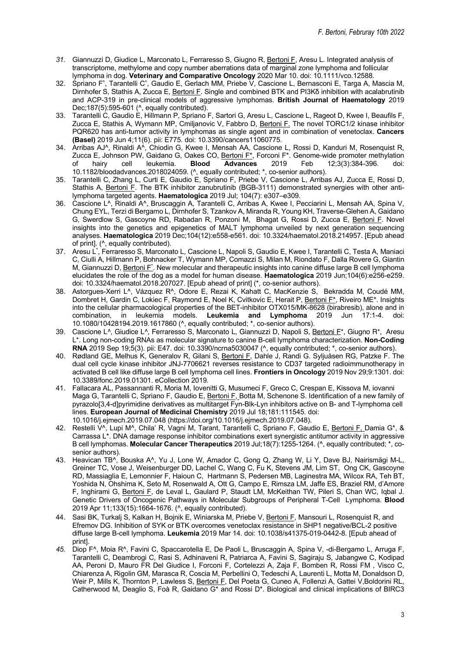- *31.* Giannuzzi D, Giudice L, Marconato L, Ferraresso S, Giugno R, Bertoni F, Aresu L. Integrated analysis of transcriptome, methylome and copy number aberrations data of marginal zone lymphoma and follicular lymphoma in dog. **Veterinary and Comparative Oncology** 2020 Mar 10. doi: 10.1111/vco.12588*.*
- 32. Spriano F<sup>^</sup>, Tarantelli C<sup>^</sup>, Gaudio E, Gerlach MM, Priebe V, Cascione L, Bernasconi E, Targa A, Mascia M, Dirnhofer S, Stathis A, Zucca E, Bertoni F. Single and combined BTK and PI3Kδ inhibition with acalabrutinib and ACP-319 in pre-clinical models of aggressive lymphomas. **British Journal of Haematology** 2019 Dec;187(5):595-601 (^, equally contributed).
- 33. Tarantelli C, Gaudio E, Hillmann P, Spriano F, Sartori G, Aresu L, Cascione L, Rageot D, Kwee I, Beaufils F, Zucca E, Stathis A, Wymann MP, Cmiljanovic V, Fabbro D, Bertoni F. The novel TORC1/2 kinase inhibitor PQR620 has anti-tumor activity in lymphomas as single agent and in combination of venetoclax. **Cancers (Basel)** 2019 Jun 4;11(6). pii: E775. doi: 10.3390/cancers11060775.
- 34. Arribas AJ^, Rinaldi A^, Chiodin G, Kwee I, Mensah AA, Cascione L, Rossi D, Kanduri M, Rosenquist R, Zucca E, Johnson PW, Gaidano G, Oakes CO, <u>Bertoni F\*</u>, Forconi F\*. Genome-wide promoter methylation of hairy cell leukemia. **Blood Advances** 2019 Feb 12;3(3):384-396. doi: 10.1182/bloodadvances.2018024059. (^, equally contributed; \*, co-senior authors).
- 35. Tarantelli C, Zhang L, Curti E, Gaudio E, Spriano F, Priebe V, Cascione L, Arribas AJ, Zucca E, Rossi D, Stathis A, Bertoni F. The BTK inhibitor zanubrutinib (BGB-3111) demonstrated synergies with other antilymphoma targeted agents. **Haematologica** 2019 Jul; 104(7): e307–e309.
- 36. Cascione L^, Rinaldi A^, Bruscaggin A, Tarantelli C, Arribas A, Kwee I, Pecciarini L, Mensah AA, Spina V, Chung EYL, Terzi di Bergamo L, Dirnhofer S, Tzankov A, Miranda R, Young KH, Traverse-Glehen A, Gaidano G, Swerdlow S, Gascoyne RD, Rabadan R, Ponzoni M, Bhagat G, Rossi D, Zucca E, Bertoni F. Novel insights into the genetics and epigenetics of MALT lymphoma unveiled by next generation sequencing analyses. **Haematologica** 2019 Dec;104(12):e558-e561. doi: 10.3324/haematol.2018.214957. [Epub ahead of print]. (^, equally contributed).
- 37. Aresu L<sup>\*</sup>, Ferraresso S, Marconato L, Cascione L, Napoli S, Gaudio E, Kwee I, Tarantelli C, Testa A, Maniaci C, Ciulli A, Hillmann P, Bohnacker T, Wymann MP, Comazzi S, Milan M, Riondato F, Dalla Rovere G, Giantin M, Giannuzzi D, Bertoni F<sup>\*</sup>. New molecular and therapeutic insights into canine diffuse large B cell lymphoma elucidates the role of the dog as a model for human disease. **Haematologica** 2019 Jun;104(6):e256-e259. doi: 10.3324/haematol.2018.207027. [Epub ahead of print] (\*, co-senior authors).
- 38. Astorgues-Xerri L^, Vázquez R^, Odore E, Rezai K, Kahatt C, MacKenzie S, Bekradda M, Coudé MM, Dombret H, Gardin C, Lokiec F, Raymond E, Noel K, Cvitkovic E, Herait P, Bertoni F\*, Riveiro ME\*. Insights into the cellular pharmacological properties of the BET-inhibitor OTX015/MK-8628 (birabresib), alone and in combination, in leukemia models. Leukemia and Lymphoma 2019 Jun 17:1-4. doi: combination, in leukemia models. Leukemia and Lymphoma 10.1080/10428194.2019.1617860 (^, equally contributed; \*, co-senior authors).
- 39. Cascione L^, Giudice L^, Ferraresso S, Marconato L, Giannuzzi D, Napoli S, Bertoni F\*, Giugno R\*, Aresu L\*. Long non-coding RNAs as molecular signature to canine B-cell lymphoma characterization. **Non-Coding RNA** 2019 Sep 19;5(3). pii: E47. doi: 10.3390/ncrna5030047 (^, equally contributed; \*, co-senior authors).
- 40. Rødland GE, Melhus K, Generalov R, Gilani S, Bertoni F, Dahle J, Randi G. Syljuåsen RG, Patzke F. The dual cell cycle kinase inhibitor JNJ-7706621 reverses resistance to CD37 targeted radioimmunotherapy in activated B cell like diffuse large B cell lymphoma cell lines. **Frontiers in Oncology** 2019 Nov 29;9:1301. doi: 10.3389/fonc.2019.01301. eCollection 2019*.*
- 41. Fallacara AL, Passannanti R, Moria M, Iovenitti G, Musumeci F, Greco C, Crespan E, Kissova M, iovanni Maga G, Tarantelli C, Spriano F, Gaudio E, Bertoni F, Botta M, Schenone S. Identification of a new family of pyrazolo[3,4-d]pyrimidine derivatives as multitarget Fyn-Blk-Lyn inhibitors active on B- and T-lymphoma cell lines. **European Journal of Medicinal Chemistry** 2019 Jul 18;181:111545. doi: 10.1016/j.ejmech.2019.07.048 (https://doi.org/10.1016/j.ejmech.2019.07.048).
- 42. Restelli V^, Lupi M^, Chila' R, Vagni M, Tarant, Tarantelli C, Spriano F, Gaudio E, Bertoni F, Damia G\*, & Carrassa L\*. DNA damage response inhibitor combinations exert synergistic antitumor activity in aggressive B cell lymphomas. **Molecular Cancer Therapeutics** 2019 Jul;18(7):1255-1264. (^, equally contributed; \*, cosenior authors).
- 43. Heavican TB^, Bouska A^, Yu J, Lone W, Amador C, Gong Q, Zhang W, Li Y, Dave BJ, Nairismägi M-L, Greiner TC, Vose J, Weisenburger DD, Lachel C, Wang C, Fu K, Stevens JM, Lim ST, Ong CK, Gascoyne RD, Massiaglia E, Lemonnier F, Haioun C, Hartmann S, Pedersen MB, Laginestra MA, Wilcox RA, Teh BT, Yoshida N, Ohshima K, Seto M, Rosenwald A, Ott G, Campo E, Rimsza LM, Jaffe ES, Braziel RM, d'Amore F, Inghirami G, Bertoni F, de Leval L, Gaulard P, Staudt LM, McKeithan TW, Pileri S, Chan WC, Iqbal J. Genetic Drivers of Oncogenic Pathways in Molecular Subgroups of Peripheral T-Cell Lymphoma. **Blood** 2019 Apr 11;133(15):1664-1676. (^, equally contributed).
- 44. Sasi BK, Turkalj S, Kalkan H, Bojnik E, Winiarska M, Priebe V, Bertoni F, Mansouri L, Rosenquist R, and Efremov DG. Inhibition of SYK or BTK overcomes venetoclax resistance in SHP1 negative/BCL-2 positive diffuse large B-cell lymphoma. **Leukemia** 2019 Mar 14. doi: 10.1038/s41375-019-0442-8. [Epub ahead of print].
- *45.* Diop F^, Moia R^, Favini C, Spaccarotella E, De Paoli L, Bruscaggin A, Spina V, -di-Bergamo L, Arruga F, Tarantelli C, Deambrogi C, Rasi S, Adhinaveni R, Patriarca A, Favini S, Sagiraju S, Jabangwe C, Kodipad AA, Peroni D, Mauro FR Del Giudice I, Forconi F, Cortelezzi A, Zaja F, Bomben R, Rossi FM , Visco C, Chiarenza A, Rigolin GM, Marasca R, Coscia M, Perbellini O, Tedeschi A, Laurenti L, Motta M, Donaldson D, Weir P, Mills K, Thornton P, Lawless S, Bertoni F, Del Poeta G, Cuneo A, Follenzi A, Gattei V,Boldorini RL, Catherwood M, Deaglio S, Foà R, Gaidano G\* and Rossi D\*. Biological and clinical implications of BIRC3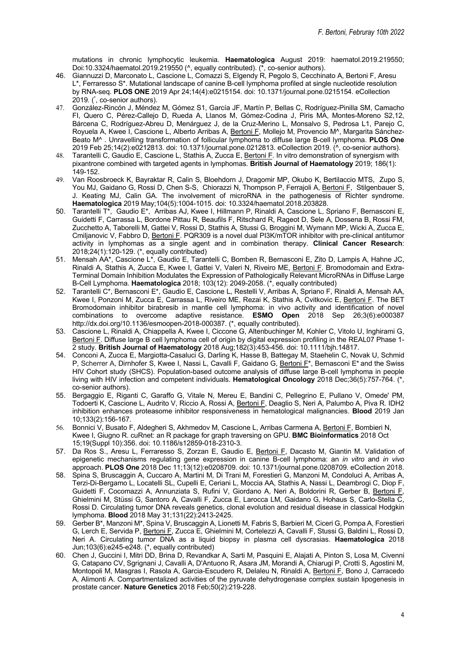mutations in chronic lymphocytic leukemia. **Haematologica** August 2019: haematol.2019.219550; Doi:10.3324/haematol.2019.219550 ( $\land$ , equally contributed). ( $\bar{\land}$ , co-senior authors).

- 46. Giannuzzi D, Marconato L, Cascione L, Comazzi S, Elgendy R, Pegolo S, Cecchinato A, Bertoni F, Aresu L\*, Ferraresso S\*. Mutational landscape of canine B-cell lymphoma profiled at single nucleotide resolution by RNA-seq. **PLOS ONE** 2019 Apr 24;14(4):e0215154. doi: 10.1371/journal.pone.0215154. eCollection 2019. (\*, co-senior authors).
- 47. González-Rincón J, Méndez M, Gómez S1, García JF, Martín P, Bellas C, Rodríguez-Pinilla SM, Camacho FI, Quero C, Pérez-Callejo D, Rueda A, Llanos M, Gómez-Codina J, Piris MA, Montes-Moreno S2,12, Bárcena C, Rodríguez-Abreu D, Menárguez J, de la Cruz-Merino L, Monsalvo S, Pedrosa L1, Parejo C, Royuela A, Kwee I, Cascione L, Alberto Arribas A, Bertoni F, Mollejo M, Provencio M^, Margarita Sánchez-Beato M^ . Unravelling transformation of follicular lymphoma to diffuse large B-cell lymphoma. **PLOS One** 2019 Feb 25;14(2):e0212813. doi: 10.1371/journal.pone.0212813. eCollection 2019. (^, co-senior authors).
- 48. Tarantelli C, Gaudio E, Cascione L, Stathis A, Zucca E, Bertoni F. In vitro demonstration of synergism with pixantrone combined with targeted agents in lymphomas. **British Journal of Haematology** 2019; 186(1): 149-152.
- 49. Van Roosbroeck K, Bayraktar R, Calin S, Bloehdorn J, Dragomir MP, Okubo K, Bertilaccio MTS, Zupo S, You MJ, Gaidano G, Rossi D, Chen S-S, Chiorazzi N, Thompson P, Ferrajoli A, Bertoni F, Stilgenbauer S, J. Keating MJ, Calin GA. The involvement of microRNA in the pathogenesis of Richter syndrome. **Haematologica** 2019 May;104(5):1004-1015. doi: 10.3324/haematol.2018.203828.
- 50. Tarantelli T\*, Gaudio E\*, Arribas AJ, Kwee I, Hillmann P, Rinaldi A, Cascione L, Spriano F, Bernasconi E, Guidetti F, Carrassa L, Bordone Pittau R, Beaufils F, Ritschard R, Rageot D, Sele A, Dossena B, Rossi FM, Zucchetto A, Taborelli M, Gattei V, Rossi D, Stathis A, Stussi G, Broggini M, Wymann MP, Wicki A, Zucca E, Cmiljanovic V, Fabbro D, Bertoni F. PQR309 is a novel dual PI3K/mTOR inhibitor with pre-clinical antitumor activity in lymphomas as a single agent and in combination therapy. **Clinical Cancer Research**: 2018;24(1):120-129. (\*, equally contributed)
- 51. Mensah AA\*, Cascione L\*, Gaudio E, Tarantelli C, Bomben R, Bernasconi E, Zito D, Lampis A, Hahne JC, Rinaldi A, Stathis A, Zucca E, Kwee I, Gattei V, Valeri N, Riveiro ME, Bertoni F. Bromodomain and Extra-Terminal Domain Inhibition Modulates the Expression of Pathologically Relevant MicroRNAs in Diffuse Large B-Cell Lymphoma. **Haematologica** 2018; 103(12): 2049-2058. (\*, equally contributed)
- 52. Tarantelli C\*, Bernasconi E\*, Gaudio E, Cascione L, Restelli V, Arribas A, Spriano F, Rinaldi A, Mensah AA, Kwee I, Ponzoni M, Zucca E, Carrassa L, Riveiro ME, Rezai K, Stathis A, Cvitkovic E, Bertoni F. The BET Bromodomain inhibitor birabresib in mantle cell lymphoma: in vivo activity and identification of novel combinations to overcome adaptive resistance. **ESMO Open** 2018 Sep 26;3(6):e000387 http://dx.doi.org/10.1136/esmoopen-2018-000387. (\*, equally contributed).
- 53. Cascione L, Rinaldi A, Chiappella A, Kwee I, Ciccone G, Altenbuchinger M, Kohler C, Vitolo U, Inghirami G, Bertoni F. Diffuse large B cell lymphoma cell of origin by digital expression profiling in the REAL07 Phase 1-2 study. **British Journal of Haematology** 2018 Aug;182(3):453-456. doi: 10.1111/bjh.14817.
- 54. Conconi A, Zucca E, Margiotta-Casaluci G, Darling K, Hasse B, Battegay M, Staehelin C, Novak U, Schmid P, Scherrer A, Dirnhofer S, Kwee I, Nassi L, Cavalli F, Gaidano G, Bertoni F\*, Bernasconi E\* and the Swiss HIV Cohort study (SHCS). Population-based outcome analysis of diffuse large B-cell lymphoma in people living with HIV infection and competent individuals. **Hematological Oncology** 2018 Dec;36(5):757-764. (\*, co-senior authors).
- 55. Bergaggio E, Riganti C, Garaffo G, Vitale N, Mereu E, Bandini C, Pellegrino E, Pullano V, Omede' PM, Todoerti K, Cascione L, Audrito V, Riccio A, Rossi A, Bertoni F, Deaglio S, Neri A, Palumbo A, Piva R. IDH2 inhibition enhances proteasome inhibitor responsiveness in hematological malignancies. **Blood** 2019 Jan 10;133(2):156-167.
- 56. Bonnici V, Busato F, Aldegheri S, Akhmedov M, Cascione L, Arribas Carmena A, Bertoni F, Bombieri N, Kwee I, Giugno R. cuRnet: an R package for graph traversing on GPU. **BMC Bioinformatics** 2018 Oct 15;19(Suppl 10):356. doi: 10.1186/s12859-018-2310-3.
- 57. Da Ros S., Aresu L, Ferraresso S, Zorzan E, Gaudio E, Bertoni F, Dacasto M, Giantin M. Validation of epigenetic mechanisms regulating gene expression in canine B-cell lymphoma: an *in vitro* and *in vivo* approach. **PLOS One** 2018 Dec 11;13(12):e0208709. doi: 10.1371/journal.pone.0208709. eCollection 2018.
- 58. Spina S, Bruscaggin A, Cuccaro A, Martini M, Di Trani M, Forestieri G, Manzoni M, Condoluci A, Arribas A, Terzi-Di-Bergamo L, Locatelli SL, Cupelli E, Ceriani L, Moccia AA, Stathis A, Nassi L, Deambrogi C, Diop F, Guidetti F, Cocomazzi A, Annunziata S, Rufini V, Giordano A, Neri A, Boldorini R, Gerber B, Bertoni F, Ghielmini M, Stüssi G, Santoro A, Cavalli F, Zucca E, Larocca LM, Gaidano G, Hohaus S, Carlo-Stella C, Rossi D. Circulating tumor DNA reveals genetics, clonal evolution and residual disease in classical Hodgkin lymphoma. **Blood** 2018 May 31;131(22):2413-2425.
- 59. Gerber B\*, Manzoni M\*, Spina V, Bruscaggin A, Lionetti M, Fabris S, Barbieri M, Ciceri G, Pompa A, Forestieri G, Lerch E, Servida P, Bertoni F, Zucca E, Ghielmini M, Cortelezzi A, Cavalli F, Stussi G, Baldini L, Rossi D, Neri A. Circulating tumor DNA as a liquid biopsy in plasma cell dyscrasias. **Haematologica** 2018 Jun;103(6):e245-e248. (\*, equally contributed)
- 60. Chen J, Guccini I, Mitri DD, Brina D, Revandkar A, Sarti M, Pasquini E, Alajati A, Pinton S, Losa M, Civenni G, Catapano CV, Sgrignani J, Cavalli A, D'Antuono R, Asara JM, Morandi A, Chiarugi P, Crotti S, Agostini M, Montopoli M, Masgras I, Rasola A, Garcia-Escudero R, Delaleu N, Rinaldi A, Bertoni F, Bono J, Carracedo A, Alimonti A. Compartmentalized activities of the pyruvate dehydrogenase complex sustain lipogenesis in prostate cancer. **Nature Genetics** 2018 Feb;50(2):219-228.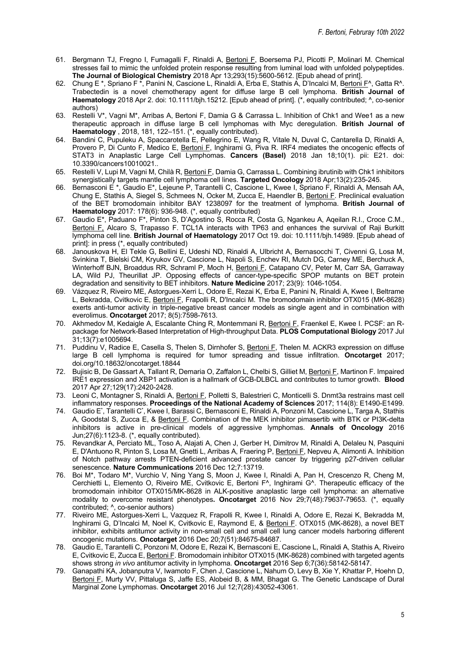- 61. Bergmann TJ, Fregno I, Fumagalli F, Rinaldi A, Bertoni F, Boersema PJ, Picotti P, Molinari M. Chemical stresses fail to mimic the unfolded protein response resulting from luminal load with unfolded polypeptides. **The Journal of Biological Chemistry** 2018 Apr 13;293(15):5600-5612. [Epub ahead of print].
- 62. Chung E \*, Spriano F \*, Panini N, Cascione L, Rinaldi A, Erba E, Stathis A, D'Incalci M, Bertoni F^, Gatta R^. Trabectedin is a novel chemotherapy agent for diffuse large B cell lymphoma. **British Journal of Haematology** 2018 Apr 2. doi: 10.1111/bjh.15212. [Epub ahead of print]. (\*, equally contributed; ^, co-senior authors)
- 63. Restelli V\*, Vagni M\*, Arribas A, Bertoni F, Damia G & Carrassa L. Inhibition of Chk1 and Wee1 as a new therapeutic approach in diffuse large B cell lymphomas with Myc deregulation. **British Journal of Haematology** , 2018, 181, 122–151. (\*, equally contributed).
- 64. Bandini C, Pupuleku A, Spaccarotella E, Pellegrino E, Wang R, Vitale N, Duval C, Cantarella D, Rinaldi A, Provero P, Di Cunto F, Medico E, Bertoni F, Inghirami G, Piva R. IRF4 mediates the oncogenic effects of STAT3 in Anaplastic Large Cell Lymphomas. **Cancers (Basel)** 2018 Jan 18;10(1). pii: E21. doi: 10.3390/cancers10010021..
- 65. Restelli V, Lupi M, Vagni M, Chilà R, Bertoni F, Damia G, Carrassa L. Combining ibrutinib with Chk1 inhibitors synergistically targets mantle cell lymphoma cell lines. **Targeted Oncology** 2018 Apr;13(2):235-245.
- 66. Bernasconi E \*, Gaudio E\*, Lejeune P, Tarantelli C, Cascione L, Kwee I, Spriano F, Rinaldi A, Mensah AA, Chung E, Stathis A, Siegel S, Schmees N, Ocker M, Zucca E, Haendler B, Bertoni F. Preclinical evaluation of the BET bromodomain inhibitor BAY 1238097 for the treatment of lymphoma. **British Journal of Haematology** 2017: 178(6): 936-948. (\*, equally contributed)
- 67. Gaudio E\*, Paduano F\*, Pinton S, D'Agostino S, Rocca R, Costa G, Ngankeu A, Aqeilan R.I., Croce C.M., Bertoni F, Alcaro S, Trapasso F. TCL1A interacts with TP63 and enhances the survival of Raii Burkitt lymphoma cell line. **British Journal of Haematology** 2017 Oct 19. doi: 10.1111/bjh.14989. [Epub ahead of print]: in press (\*, equally contributed)
- 68. Janouskova H, El Tekle G, Bellini E, Udeshi ND, Rinaldi A, Ulbricht A, Bernasocchi T, Civenni G, Losa M, Svinkina T, Bielski CM, Kryukov GV, Cascione L, Napoli S, Enchev RI, Mutch DG, Carney ME, Berchuck A, Winterhoff BJN, Broaddus RR, Schraml P, Moch H, Bertoni F, Catapano CV, Peter M, Carr SA, Garraway LA, Wild PJ, Theurillat JP. Opposing effects of cancer-type-specific SPOP mutants on BET protein degradation and sensitivity to BET inhibitors. **Nature Medicine** 2017; 23(9): 1046-1054.
- 69. Vázquez R, Riveiro ME, Astorgues-Xerri L, Odore E, Rezai K, Erba E, Panini N, Rinaldi A, Kwee I, Beltrame L, Bekradda, Cvitkovic E, Bertoni F, Frapolli R, D'Incalci M. The bromodomain inhibitor OTX015 (MK-8628) exerts anti-tumor activity in triple-negative breast cancer models as single agent and in combination with everolimus. **Oncotarget** 2017; 8(5):7598-7613.
- 70. Akhmedov M, Kedaigle A, Escalante Ching R, Montemmani R, Bertoni F, Fraenkel E, Kwee I. PCSF: an Rpackage for Network-Based Interpretation of High-throughput Data. **PLOS Computational Biology** 2017 Jul 31;13(7):e1005694.
- 71. Puddinu V, Radice E, Casella S, Thelen S, Dirnhofer S, Bertoni F, Thelen M. ACKR3 expression on diffuse large B cell lymphoma is required for tumor spreading and tissue infiltration. **Oncotarget** 2017; doi.org/10.18632/oncotarget.18844
- 72. Bujisic B, De Gassart A, Tallant R, Demaria O, Zaffalon L, Chelbi S, Gilliet M, Bertoni F, Martinon F. Impaired IRE1 expression and XBP1 activation is a hallmark of GCB-DLBCL and contributes to tumor growth. **Blood** 2017 Apr 27;129(17):2420-2428.
- 73. Leoni C, Montagner S, Rinaldi A, Bertoni F, Polletti S, Balestrieri C, Monticelli S. Dnmt3a restrains mast cell inflammatory responses. **Proceedings of the National Academy of Sciences** 2017; 114(8): E1490-E1499.
- 74. Gaudio E\* , Tarantelli C\* , Kwee I, Barassi C, Bernasconi E, Rinaldi A, Ponzoni M, Cascione L, Targa A, Stathis A, Goodstal S, Zucca E, & Bertoni F. Combination of the MEK inhibitor pimasertib with BTK or PI3K-delta inhibitors is active in pre-clinical models of aggressive lymphomas. **Annals of Oncology** 2016 Jun;27(6):1123-8. (\*, equally contributed).
- 75. Revandkar A, Perciato ML, Toso A, Alajati A, Chen J, Gerber H, Dimitrov M, Rinaldi A, Delaleu N, Pasquini E, D'Antuono R, Pinton S, Losa M, Gnetti L, Arribas A, Fraering P, Bertoni F, Nepveu A, Alimonti A. Inhibition of Notch pathway arrests PTEN-deficient advanced prostate cancer by triggering p27-driven cellular senescence. **Nature Communications** 2016 Dec 12;7:13719.
- 76. Boi M\*, Todaro M\*, Vurchio V, Ning Yang S, Moon J, Kwee I, Rinaldi A, Pan H, Crescenzo R, Cheng M, Cerchietti L, Elemento O, Riveiro ME, Cvitkovic E, Bertoni F^, Inghirami G^. Therapeutic efficacy of the bromodomain inhibitor OTX015/MK-8628 in ALK-positive anaplastic large cell lymphoma: an alternative modality to overcome resistant phenotypes**. Oncotarget** 2016 Nov 29;7(48):79637-79653. (\*, equally contributed; ^, co-senior authors)
- 77. Riveiro ME, Astorgues-Xerri L, Vazquez R, Frapolli R, Kwee I, Rinaldi A, Odore E, Rezai K, Bekradda M, Inghirami G, D'Incalci M, Noel K, Cvitkovic E, Raymond E, & Bertoni F. OTX015 (MK-8628), a novel BET inhibitor, exhibits antitumor activity in non-small cell and small cell lung cancer models harboring different oncogenic mutations. **Oncotarget** 2016 Dec 20;7(51):84675-84687.
- 78. Gaudio E, Tarantelli C, Ponzoni M, Odore E, Rezai K, Bernasconi E, Cascione L, Rinaldi A, Stathis A, Riveiro E, Cvitkovic E, Zucca E, Bertoni F. Bromodomain inhibitor OTX015 (MK-8628) combined with targeted agents shows strong *in vivo* antitumor activity in lymphoma. **Oncotarget** 2016 Sep 6;7(36):58142-58147.
- 79. Ganapathi KA, Jobanputra V, Iwamoto F, Chen J, Cascione L, Nahum O, Levy B, Xie Y, Khattar P, Hoehn D, Bertoni F, Murty VV, Pittaluga S, Jaffe ES, Alobeid B, & MM, Bhagat G. The Genetic Landscape of Dural Marginal Zone Lymphomas. **Oncotarget** 2016 Jul 12;7(28):43052-43061.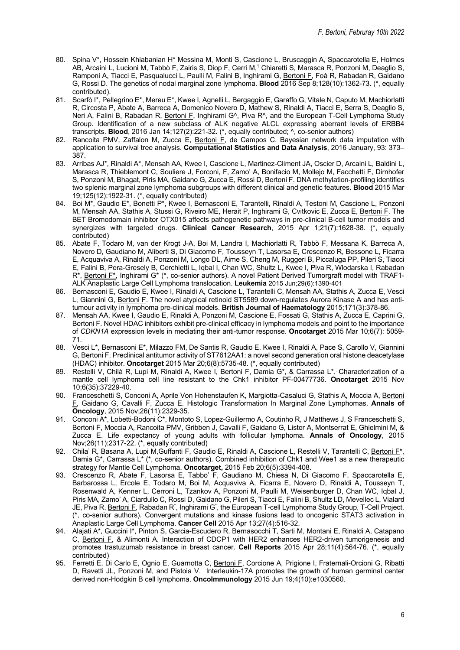- 80. Spina V\*, Hossein Khiabanian H\* Messina M, Monti S, Cascione L, Bruscaggin A, Spaccarotella E, Holmes AB, Arcaini L, Lucioni M, Tabbò F, Zairis S, Diop F, Cerri M,<sup>1</sup> Chiaretti S, Marasca R, Ponzoni M, Deaglio S, Ramponi A, Tiacci E, Pasqualucci L, Paulli M, Falini B, Inghirami G, Bertoni F, Foà R, Rabadan R, Gaidano G, Rossi D. The genetics of nodal marginal zone lymphoma. **Blood** 2016 Sep 8;128(10):1362-73. (\*, equally contributed).
- 81. Scarfò I\*, Pellegrino E\*, Mereu E\*, Kwee I, Agnelli L, Bergaggio E, Garaffo G, Vitale N, Caputo M, Machiorlatti R, Circosta P, Abate A, Barreca A, Domenico Novero D, Mathew S, Rinaldi A, Tiacci E, Serra S, Deaglio S, Neri A, Falini B, Rabadan R, Bertoni F, Inghirami G^, Piva R^, and the European T-Cell Lymphoma Study Group. Identification of a new subclass of ALK negative ALCL expressing aberrant levels of ERBB4 transcripts. **Blood**, 2016 Jan 14;127(2):221-32**.** (\*, equally contributed; ^, co-senior authors)
- 82. Rancoita PMV, Zaffalon M, Zucca E, Bertoni F, de Campos C. Bayesian network data imputation with application to survival tree analysis. **Computational Statistics and Data Analysis**, 2016 January, 93: 373– 387.
- 83. Arribas AJ\*, Rinaldi A\*, Mensah AA, Kwee I, Cascione L, Martinez-Climent JA, Oscier D, Arcaini L, Baldini L, Marasca R, Thieblemont C, Souliere J, Forconi, F, Zamo' A, Bonifacio M, Mollejo M, Facchetti F, Dirnhofer S, Ponzoni M, Bhagat, Piris MA, Gaidano G, Zucca E, Rossi D, Bertoni F. DNA methylation-profiling identifies two splenic marginal zone lymphoma subgroups with different clinical and genetic features. **Blood** 2015 Mar 19;125(12):1922-31. (\*, equally contributed)
- 84. Boi M\*, Gaudio E\*, Bonetti P\*, Kwee I, Bernasconi E, Tarantelli, Rinaldi A, Testoni M, Cascione L, Ponzoni M, Mensah AA, Stathis A, Stussi G, Riveiro ME, Herait P, Inghirami G, Cvitkovic E, Zucca E, Bertoni F. The BET Bromodomain inhibitor OTX015 affects pathogenetic pathways in pre-clinical B-cell tumor models and synergizes with targeted drugs. **Clinical Cancer Research**, 2015 Apr 1;21(7):1628-38. (\*, equally contributed)
- 85. Abate F, Todaro M, van der Krogt J-A, Boi M, Landra I, Machiorlatti R, Tabbò F, Messana K, Barreca A, Novero D, Gaudiano M, Aliberti S, Di Giacomo F, Tousseyn T, Lasorsa E, Crescenzo R, Bessone L, Ficarra E, Acquaviva A, Rinaldi A, Ponzoni M, Longo DL, Aime S, Cheng M, Ruggeri B, Piccaluga PP, Pileri S, Tiacci E, Falini B, Pera-Gresely B, Cerchietti L, Iqbal I, Chan WC, Shultz L, Kwee I, Piva R, Wlodarska I, Rabadan R\*, Bertoni F\*, Inghirami G\* (\*, co-senior authors). A novel Patient Derived Tumorgraft model with TRAF1- ALK Anaplastic Large Cell Lymphoma translocation. **Leukemia** 2015 Jun;29(6):1390-401
- 86. Bernasconi E, Gaudio E, Kwee I, Rinaldi A, Cascione L, Tarantelli C, Mensah AA, Stathis A, Zucca E, Vesci L, Giannini G, Bertoni F. The novel atypical retinoid ST5589 down-regulates Aurora Kinase A and has antitumour activity in lymphoma pre-clinical models. **British Journal of Haematology** 2015;171(3):378-86.
- 87. Mensah AA, Kwee I, Gaudio E, Rinaldi A, Ponzoni M, Cascione E, Fossati G, Stathis A, Zucca E, Caprini G, Bertoni F. Novel HDAC inhibitors exhibit pre-clinical efficacy in lymphoma models and point to the importance of *CDKN1A* expression levels in mediating their anti-tumor response. **Oncotarget** 2015 Mar 10;6(7): 5059- 71.
- 88. Vesci L\*, Bernasconi E\*, Milazzo FM, De Santis R, Gaudio E, Kwee I, Rinaldi A, Pace S, Carollo V, Giannini G, Bertoni F. Preclinical antitumor activity of ST7612AA1: a novel second generation oral histone deacetylase (HDAC) inhibitor. **Oncotarget** 2015 Mar 20;6(8):5735-48. (\*, equally contributed)
- 89. Restelli V, Chilà R, Lupi M, Rinaldi A, Kwee I, Bertoni F, Damia G\*, & Carrassa L\*. Characterization of a mantle cell lymphoma cell line resistant to the Chk1 inhibitor PF-00477736. **Oncotarget** 2015 Nov 10;6(35):37229-40.
- 90. Franceschetti S, Conconi A, Aprile Von Hohenstaufen K, Margiotta-Casaluci G, Stathis A, Moccia A, Bertoni F, Gaidano G, Cavalli F, Zucca E. Histologic Transformation In Marginal Zone Lymphomas. **Annals of Oncology**, 2015 Nov;26(11):2329-35.
- 91. Conconi A<sup>\*</sup>, Lobetti-Bodoni C<sup>\*</sup>, Montoto S, Lopez-Guillermo A, Coutinho R, J Matthews J, S Franceschetti S, Bertoni F, Moccia A, Rancoita PMV, Gribben J, Cavalli F, Gaidano G, Lister A, Montserrat E, Ghielmini M, & Zucca E. Life expectancy of young adults with follicular lymphoma. **Annals of Oncology**, 2015 Nov;26(11):2317-22. (\*, equally contributed)
- 92. Chila' R, Basana A, Lupi M,Guffanti F, Gaudio E, Rinaldi A, Cascione L, Restelli V, Tarantelli C, Bertoni F\*, Damia G\*, Carrassa L\* (\*, co-senior authors). Combined inhibition of Chk1 and Wee1 as a new therapeutic strategy for Mantle Cell Lymphoma. **Oncotarget,** 2015 Feb 20;6(5):3394-408.
- 93. Crescenzo R, Abate F, Lasorsa E, Tabbo' F, Gaudiano M, Chiesa N, Di Giacomo F, Spaccarotella E, Barbarossa L, Ercole E, Todaro M, Boi M, Acquaviva A, Ficarra E, Novero D, Rinaldi A, Tousseyn T, Rosenwald A, Kenner L, Cerroni L, Tzankov A, Ponzoni M, Paulli M, Weisenburger D, Chan WC, Iqbal J, Piris MA, Zamo' A, Ciardullo C, Rossi D, Gaidano G, Pileri S, Tiacci E, Falini B, Shultz LD, Mevellec L, Vialard JE, Piva R, <u>Bertoni F,</u> Rabadan R<sup>\*</sup>, Inghirami G<sup>\*</sup>, the European T-cell Lymphoma Study Group, T-Cell Project. (\*, co-senior authors). Convergent mutations and kinase fusions lead to oncogenic STAT3 activation in Anaplastic Large Cell Lymphoma. **Cancer Cell** 2015 Apr 13;27(4):516-32.
- 94. Alajati A\*, Guccini I\*, Pinton S, Garcia-Escudero R, Bernasocchi T, Sarti M, Montani E, Rinaldi A, Catapano C, Bertoni F, & Alimonti A. Interaction of CDCP1 with HER2 enhances HER2-driven tumorigenesis and promotes trastuzumab resistance in breast cancer. **Cell Reports** 2015 Apr 28;11(4):564-76. (\*, equally contributed)
- 95. Ferretti E, Di Carlo E, Ognio E, Guarnotta C, Bertoni F, Corcione A, Prigione I, Fraternali-Orcioni G, Ribatti D, Ravetti JL, Ponzoni M, and Pistoia V. Interleukin-17A promotes the growth of human germinal center derived non-Hodgkin B cell lymphoma. **OncoImmunology** 2015 Jun 19;4(10):e1030560.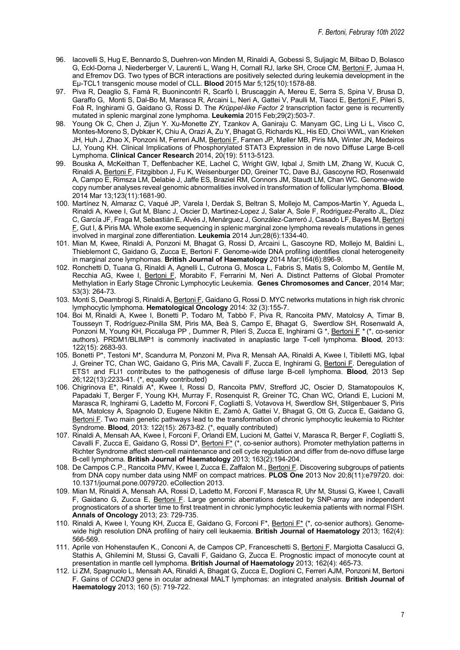- 96. Iacovelli S, Hug E, Bennardo S, Duehren-von Minden M, Rinaldi A, Gobessi S, Suljagic M, Bilbao D, Bolasco G, Eckl-Dorna J, Niederberger V, Laurenti L, Wang H, Cornall RJ, larke SH, Croce CM, Bertoni F, Jumaa H, and Efremov DG. Two types of BCR interactions are positively selected during leukemia development in the Eμ-TCL1 transgenic mouse model of CLL. **Blood** 2015 Mar 5;125(10):1578-88.
- 97. Piva R, Deaglio S, Famà R, Buonincontri R, Scarfò I, Bruscaggin A, Mereu E, Serra S, Spina V, Brusa D, Garaffo G, Monti S, Dal-Bo M, Marasca R, Arcaini L, Neri A, Gattei V, Paulli M, Tiacci E, Bertoni F, Pileri S, Foà R, Inghirami G, Gaidano G, Rossi D. The *Krüppel-like Factor 2* transcription factor gene is recurrently mutated in splenic marginal zone lymphoma. **Leukemia** 2015 Feb;29(2):503-7.
- 98. Young Ok C, Chen J, Zijun Y. Xu-Monette ZY, Tzankov A, Ganiraju C. Manyam GC, Ling Li L, Visco C, Montes-Moreno S, Dybkær K, Chiu A, Orazi A, Zu Y, Bhagat G, Richards KL, His ED, Choi WWL, van Krieken JH, Huh J, Zhao X, Ponzoni M, Ferreri AJM, Bertoni F, Farnen JP, Møller MB, Piris MA, Winter JN, Medeiros LJ, Young KH. Clinical Implications of Phosphorylated STAT3 Expression in de novo Diffuse Large B-cell Lymphoma. **Clinical Cancer Research** 2014, 20(19): 5113-5123.
- 99. Bouska A, McKeithan T, Deffenbacher KE, Lachel C, Wright GW, Iqbal J, Smith LM, Zhang W, Kucuk C, Rinaldi A, Bertoni F, Fitzgibbon J, Fu K, Weisenburger DD, Greiner TC, Dave BJ, Gascoyne RD, Rosenwald A, Campo E, Rimsza LM, Delabie J, Jaffe ES, Braziel RM, Connors JM, Staudt LM, Chan WC. Genome-wide copy number analyses reveal genomic abnormalities involved in transformation of follicular lymphoma. **Blood***,*  2014 Mar 13;123(11):1681-90.
- 100. Martínez N, Almaraz C, Vaqué JP, Varela I, Derdak S, Beltran S, Mollejo M, Campos-Martin Y, Agueda L, Rinaldi A, Kwee I, Gut M, Blanc J, Oscier D, Martinez-Lopez J, Salar A, Sole F, Rodriguez-Peralto JL, Díez C, García JF, Fraga M, Sebastián E, Alvés J, Menárguez J, González-Carreró J, Casado LF, Bayes M, Bertoni F, Gut I, & Piris MA. Whole exome sequencing in splenic marginal zone lymphoma reveals mutations in genes involved in marginal zone differentiation. **Leukemia** 2014 Jun;28(6):1334-40.
- 101. Mian M, Kwee, Rinaldi A, Ponzoni M, Bhagat G, Rossi D, Arcaini L, Gascoyne RD, Mollejo M, Baldini L, Thieblemont C, Gaidano G, Zucca E, Bertoni F. Genome-wide DNA profiling identifies clonal heterogeneity in marginal zone lymphomas. **British Journal of Haematology** 2014 Mar;164(6):896-9.
- 102. Ronchetti D, Tuana G, Rinaldi A, Agnelli L, Cutrona G, Mosca L, Fabris S, Matis S, Colombo M, Gentile M, Recchia AG, Kwee I, Bertoni F, Morabito F, Ferrarini M, Neri A. Distinct Patterns of Global Promoter Methylation in Early Stage Chronic Lymphocytic Leukemia. **Genes Chromosomes and Cancer**, 2014 Mar; 53(3): 264-73*.*
- 103. Monti S, Deambrogi S, Rinaldi A, Bertoni F, Gaidano G, Rossi D. MYC networks mutations in high risk chronic lymphocytic lymphoma. **Hematological Oncology** 2014: 32 (3):155-7.
- 104. Boi M, Rinaldi A, Kwee I, Bonetti P, Todaro M, Tabbò F, Piva R, Rancoita PMV, Matolcsy A, Timar B, Tousseyn T, Rodríguez-Pinilla SM, Piris MA, Beà S, Campo E, Bhagat G, Swerdlow SH, Rosenwald A, Ponzoni M, Young KH, Piccaluga PP , Dummer R, Pileri S, Zucca E, Inghirami G \*, Bertoni F *\** (\*, co-senior authors)*.* PRDM1/BLIMP1 is commonly inactivated in anaplastic large T-cell lymphoma. **Blood***,* 2013: 122(15): 2683-93.
- 105. Bonetti P\*, Testoni M\*, Scandurra M, Ponzoni M, Piva R, Mensah AA, Rinaldi A, Kwee I, Tibiletti MG, Iqbal J, Greiner TC, Chan WC, Gaidano G, Piris MA, Cavalli F, Zucca E, Inghirami G, Bertoni F. Deregulation of ETS1 and FLI1 contributes to the pathogenesis of diffuse large B-cell lymphoma. **Blood***,* 2013 Sep 26;122(13):2233-41. (\*, equally contributed)
- 106. Chigrinova E\*, Rinaldi A\*, Kwee I, Rossi D, Rancoita PMV, Strefford JC, Oscier D, Stamatopoulos K, Papadaki T, Berger F, Young KH, Murray F, Rosenquist R, Greiner TC, Chan WC, Orlandi E, Lucioni M, Marasca R, Inghirami G, Ladetto M, Forconi F, Cogliatti S, Votavova H, Swerdlow SH, Stilgenbauer S, Piris MA, Matolcsy A, Spagnolo D, Eugene Nikitin E, Zamò A, Gattei V, Bhagat G, Ott G, Zucca E, Gaidano G, Bertoni F. Two main genetic pathways lead to the transformation of chronic lymphocytic leukemia to Richter Syndrome. **Blood***,* 2013: 122(15): 2673-82. (\*, equally contributed)
- 107. Rinaldi A, Mensah AA, Kwee I, Forconi F, Orlandi EM, Lucioni M, Gattei V, Marasca R, Berger F, Cogliatti S, Cavalli F, Zucca E, Gaidano G, Rossi D\*, Bertoni F\* (\*, co-senior authors). Promoter methylation patterns in Richter Syndrome affect stem-cell maintenance and cell cycle regulation and differ from de-novo diffuse large B-cell lymphoma. **British Journal of Haematology** 2013; 163(2):194-204.
- 108. De Campos C.P., Rancoita PMV, Kwee I, Zucca E, Zaffalon M., Bertoni F. Discovering subgroups of patients from DNA copy number data using NMF on compact matrices. **PLOS One** 2013 Nov 20;8(11):e79720. doi: 10.1371/journal.pone.0079720. eCollection 2013.
- 109. Mian M, Rinaldi A, Mensah AA, Rossi D, Ladetto M, Forconi F, Marasca R, Uhr M, Stussi G, Kwee I, Cavalli F, Gaidano G, Zucca E, Bertoni F. Large genomic aberrations detected by SNP-array are independent prognosticators of a shorter time to first treatment in chronic lymphocytic leukemia patients with normal FISH. **Annals of Oncology** 2013; 23: 729-735.
- 110. Rinaldi A, Kwee I, Young KH, Zucca E, Gaidano G, Forconi F\*, Bertoni F\* (\*, co-senior authors). Genomewide high resolution DNA profiling of hairy cell leukaemia. **British Journal of Haematology** 2013; 162(4): 566-569.
- 111. Aprile von Hohenstaufen K., Conconi A, de Campos CP, Franceschetti S, Bertoni F, Margiotta Casalucci G, Stathis A, Ghilemini M, Stussi G, Cavalli F, Gaidano G, Zucca E. Prognostic impact of monocyte count at presentation in mantle cell lymphoma. **British Journal of Haematology** 2013; 162(4): 465-73.
- 112. Li ZM, Spagnuolo L, Mensah AA, Rinaldi A, Bhagat G, Zucca E, Doglioni C, Ferreri AJM, Ponzoni M, Bertoni F. Gains of *CCND3* gene in ocular adnexal MALT lymphomas: an integrated analysis. **British Journal of Haematology** 2013; 160 (5): 719-722.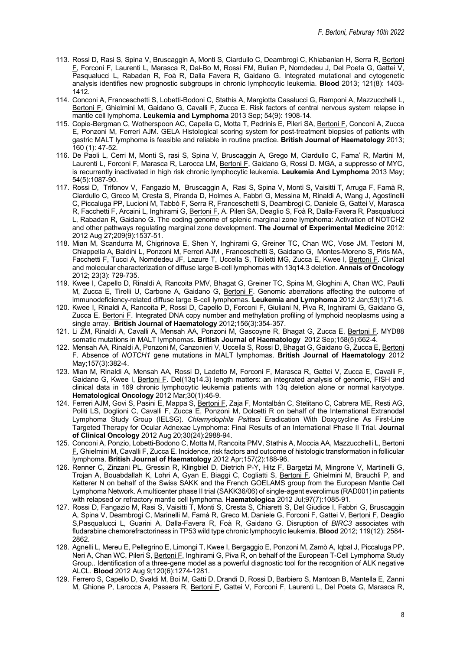- 113. Rossi D, Rasi S, Spina V, Bruscaggin A, Monti S, Ciardullo C, Deambrogi C, Khiabanian H, Serra R, Bertoni F, Forconi F, Laurenti L, Marasca R, Dal-Bo M, Rossi FM, Bulian P, Nomdedeu J, Del Poeta G, Gattei V, Pasqualucci L, Rabadan R, Foà R, Dalla Favera R, Gaidano G. Integrated mutational and cytogenetic analysis identifies new prognostic subgroups in chronic lymphocytic leukemia. **Blood** 2013; 121(8): 1403- 1412.
- 114. Conconi A, Franceschetti S, Lobetti-Bodoni C, Stathis A, Margiotta Casalucci G, Ramponi A, Mazzucchelli L, Bertoni F, Ghielmini M, Gaidano G, Cavalli F, Zucca E. Risk factors of central nervous system relapse in mantle cell lymphoma. **Leukemia and Lymphoma** 2013 Sep; 54(9): 1908-14.
- 115. Copie-Bergman C, Wotherspoon AC, Capella C, Motta T, Pedrinis E, Pileri SA, Bertoni F, Conconi A, Zucca E, Ponzoni M, Ferreri AJM. GELA Histological scoring system for post-treatment biopsies of patients with gastric MALT lymphoma is feasible and reliable in routine practice. **British Journal of Haematology** 2013; 160 (1): 47-52.
- 116. De Paoli L, Cerri M, Monti S, rasi S, Spina V, Bruscaggin A, Grego M, Ciardullo C, Fama' R, Martini M, Laurenti L, Forconi F, Marasca R, Larocca LM, Bertoni F, Gaidano G, Rossi D. MGA, a suppresso of MYC, is recurrently inactivated in high risk chronic lymphocytic leukemia. **Leukemia And Lymphoma** 2013 May; 54(5):1087-90.
- 117. Rossi D, Trifonov V, Fangazio M, Bruscaggin A, Rasi S, Spina V, Monti S, Vaisitti T, Arruga F, Famà R, Ciardullo C, Greco M, Cresta S, Piranda D, Holmes A, Fabbri G, Messina M, Rinaldi A, Wang J, Agostinelli C, Piccaluga PP, Lucioni M, Tabbò F, Serra R, Franceschetti S, Deambrogi C, Daniele G, Gattei V, Marasca R, Facchetti F, Arcaini L, Inghirami G, Bertoni F, A. Pileri SA, Deaglio S, Foà R, Dalla-Favera R, Pasqualucci L, Rabadan R, Gaidano G. The coding genome of splenic marginal zone lymphoma: Activation of NOTCH2 and other pathways regulating marginal zone development. **The Journal of Experimental Medicine** 2012: 2012 Aug 27;209(9):1537-51.
- 118. Mian M, Scandurra M, Chigrinova E, Shen Y, Inghirami G, Greiner TC, Chan WC, Vose JM, Testoni M, Chiappella A, Baldini L, Ponzoni M, Ferreri AJM , Franceschetti S, Gaidano G, Montes-Moreno S, Piris MA, Facchetti F, Tucci A, Nomdedeu JF, Lazure T, Uccella S, Tibiletti MG, Zucca E, Kwee I, Bertoni F. Clinical and molecular characterization of diffuse large B-cell lymphomas with 13q14.3 deletion. **Annals of Oncology** 2012; 23(3): 729-735.
- 119. Kwee I, Capello D, Rinaldi A, Rancoita PMV, Bhagat G, Greiner TC, Spina M, Gloghini A, Chan WC, Paulli M, Zucca E, Tirelli U, Carbone A, Gaidano G, Bertoni F. Genomic aberrations affecting the outcome of immunodeficiency-related diffuse large B-cell lymphomas. **Leukemia and Lymphoma** 2012 Jan;53(1):71-6.
- 120. Kwee I, Rinaldi A, Rancoita P, Rossi D, Capello D, Forconi F, Giuliani N, Piva R, Inghirami G, Gaidano G, Zucca E, Bertoni F. Integrated DNA copy number and methylation profiling of lymphoid neoplasms using a single array. **British Journal of Haematology** 2012;156(3):354-357.
- 121. Li ZM, Rinaldi A, Cavalli A, Mensah AA, Ponzoni M, Gascoyne R, Bhagat G, Zucca E, Bertoni F. MYD88 somatic mutations in MALT lymphomas. **British Journal of Haematology** 2012 Sep;158(5):662-4.
- 122. Mensah AA, Rinaldi A, Ponzoni M, Canzonieri V, Uccella S, Rossi D, Bhagat G, Gaidano G, Zucca E, Bertoni F. Absence of *NOTCH1* gene mutations in MALT lymphomas. **British Journal of Haematology** 2012 May;157(3):382-4.
- 123. Mian M, Rinaldi A, Mensah AA, Rossi D, Ladetto M, Forconi F, Marasca R, Gattei V, Zucca E, Cavalli F, Gaidano G, Kwee I, Bertoni F. Del(13q14.3) length matters: an integrated analysis of genomic, FISH and clinical data in 169 chronic lymphocytic leukemia patients with 13q deletion alone or normal karyotype. **Hematological Oncology** 2012 Mar;30(1):46-9.
- 124. Ferreri AJM, Govi S, Pasini E, Mappa S, Bertoni F, Zaja F, Montalbán C, Stelitano C, Cabrera ME, Resti AG, Politi LS, Doglioni C, Cavalli F, Zucca E, Ponzoni M, Dolcetti R on behalf of the International Extranodal Lymphoma Study Group (IELSG). *Chlamydophila Psittaci* Eradication With Doxycycline As First-Line Targeted Therapy for Ocular Adnexae Lymphoma: Final Results of an International Phase II Trial. **Journal of Clinical Oncology** 2012 Aug 20;30(24):2988-94.
- 125. Conconi A, Ponzio, Lobetti-Bodono C, Motta M, Rancoita PMV, Stathis A, Moccia AA, Mazzucchelli L, Bertoni F, Ghielmini M, Cavalli F, Zucca E. Incidence, risk factors and outcome of histologic transformation in follicular lymphoma. **British Journal of Haematology** 2012 Apr;157(2):188-96.
- 126. Renner C, Zinzani PL, Gressin R, Klingbiel D, Dietrich P-Y, Hitz F, Bargetzi M, Mingrone V, Martinelli G, Trojan A, Bouabdallah K, Lohri A, Gyan E, Biaggi C, Cogliatti S, Bertoni F, Ghielmini M, Brauchli P, and Ketterer N on behalf of the Swiss SAKK and the French GOELAMS group from the European Mantle Cell Lymphoma Network. A multicenter phase II trial (SAKK36/06) of single-agent everolimus (RAD001) in patients with relapsed or refractory mantle cell lymphoma. **Haematologica** 2012 Jul;97(7):1085-91.
- 127. Rossi D, Fangazio M, Rasi S, Vaisitti T, Monti S, Cresta S, Chiaretti S, Del Giudice I, Fabbri G, Bruscaggin A, Spina V, Deambrogi C, Marinelli M, Famà R, Greco M, Daniele G, Forconi F, Gattei V, *Bertoni F*, Deaglio S,Pasqualucci L, Guarini A, Dalla-Favera R, Foà R, Gaidano G. Disruption of *BIRC3* associates with fludarabine chemorefractoriness in TP53 wild type chronic lymphocytic leukemia. **Blood** 2012; 119(12): 2584- 2862.
- 128. Agnelli L, Mereu E, Pellegrino E, Limongi T, Kwee I, Bergaggio E, Ponzoni M, Zamò A, Iqbal J, Piccaluga PP, Neri A, Chan WC, Pileri S, Bertoni F, Inghirami G, Piva R, on behalf of the European T-Cell Lymphoma Study Group.. Identification of a three-gene model as a powerful diagnostic tool for the recognition of ALK negative ALCL. **Blood** 2012 Aug 9;120(6):1274-1281.
- 129. Ferrero S, Capello D, Svaldi M, Boi M, Gatti D, Drandi D, Rossi D, Barbiero S, Mantoan B, Mantella E, Zanni M, Ghione P, Larocca A, Passera R, Bertoni F, Gattei V, Forconi F, Laurenti L, Del Poeta G, Marasca R,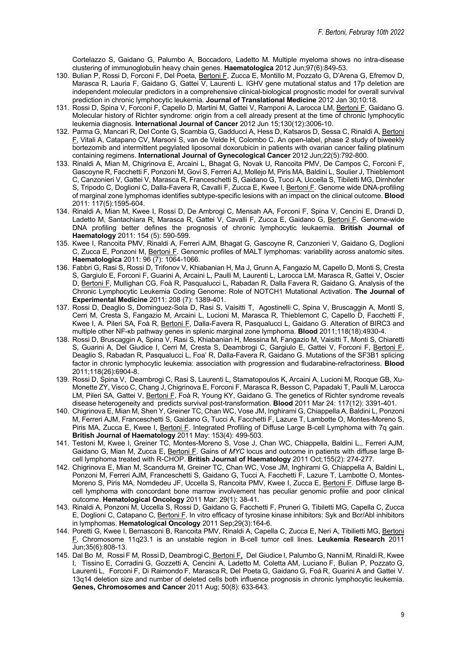Cortelazzo S, Gaidano G, Palumbo A, Boccadoro, Ladetto M. Multiple myeloma shows no intra-disease clustering of immunoglobulin heavy chain genes. **Haematologica** 2012 Jun;97(6):849-53.

- 130. Bulian P, Rossi D, Forconi F, Del Poeta, Bertoni F, Zucca E, Montillo M, Pozzato G, D'Arena G, Efremov D, Marasca R, Lauria F, Gaidano G, Gattei V, Laurenti L. IGHV gene mutational status and 17p deletion are independent molecular predictors in a comprehensive clinical-biological prognostic model for overall survival prediction in chronic lymphocytic leukemia. **Journal of Translational Medicine** 2012 Jan 30;10:18.
- 131. Rossi D, Spina V, Forconi F, Capello D, Martini M, Gattei V, Ramponi A, Larocca LM, Bertoni F, Gaidano G. Molecular history of Richter syndrome: origin from a cell already present at the time of chronic lymphocytic leukemia diagnosis. **International Journal of Cancer** 2012 Jun 15;130(12):3006-10.
- 132. Parma G, Mancari R, Del Conte G, Scambia G, Gadducci A, Hess D, Katsaros D, Sessa C, Rinaldi A, Bertoni F, Vitali A, Catapano CV, Marsoni S, van de Velde H, Colombo C. An open-label, phase 2 study of biweekly bortezomib and intermittent pegylated liposomal doxorubicin in patients with ovarian cancer failing platinum containing regimens. **International Journal of Gynecological Cancer** 2012 Jun;22(5):792-800.
- 133. Rinaldi A, Mian M, Chigrinova E, Arcaini L, Bhagat G, Novak U, Rancoita PMV, De Campos C, Forconi F, Gascoyne R, Facchetti F, Ponzoni M, Govi S, Ferreri AJ, Mollejo M, Piris MA, Baldini L, Soulier J, Thieblemont C, Canzonieri V, Gattei V, Marasca R, Franceschetti S, Gaidano G, Tucci A, Uccella S, Tibiletti MG, Dirnhofer S, Tripodo C, Doglioni C, Dalla-Favera R, Cavalli F, Zucca E, Kwee I, Bertoni F. Genome wide DNA-profiling of marginal zone lymphomas identifies subtype-specific lesions with an impact on the clinical outcome. **Blood** 2011: 117(5):1595-604.
- 134. Rinaldi A, Mian M, Kwee I, Rossi D, De Ambrogi C, Mensah AA, Forconi F, Spina V, Cencini E, Drandi D, Ladetto M, Santachiara R, Marasca R, Gattei V, Cavalli F, Zucca E, Gaidano G, Bertoni F. Genome-wide DNA profiling better defines the prognosis of chronic lymphocytic leukaemia. **British Journal of Haematology** 2011: 154 (5): 590-599.
- 135. Kwee I, Rancoita PMV, Rinaldi A, Ferreri AJM, Bhagat G, Gascoyne R, Canzonieri V, Gaidano G, Doglioni C, Zucca E, Ponzoni M, Bertoni F. Genomic profiles of MALT lymphomas: variability across anatomic sites. **Haematologica** 2011: 96 (7): 1064-1066.
- 136. Fabbri G, Rasi S, Rossi D, Trifonov V, Khiabanian H, Ma J, Grunn A, Fangazio M, Capello D, Monti S, Cresta S, Gargiulo E, Forconi F, Guarini A, Arcaini L, Paulli M, Laurenti L, Larocca LM, Marasca R, Gattei V, Oscier D, Bertoni F, Mullighan CG, Foà R, Pasqualucci L, Rabadan R, Dalla Favera R, Gaidano G. Analysis of the Chronic Lymphocytic Leukemia Coding Genome: Role of NOTCH1 Mutational Activation. **The Journal of Experimental Medicine** 2011: 208 (7): 1389-401.
- 137. Rossi D, Deaglio S, Dominguez-Sola D, Rasi S, Vaisitti T, Agostinelli C, Spina V, Bruscaggin A, MontI S, Cerri M, Cresta S, Fangazio M, Arcaini L, Lucioni M, Marasca R, Thieblemont C, Capello D, Facchetti F, Kwee I, A. Pileri SA, Foà R, Bertoni F, Dalla-Favera R, Pasqualucci L, Gaidano G. Alteration of BIRC3 and multiple other NF-κb pathway genes in splenic marginal zone lymphoma. **Blood** 2011;118(18):4930-4.
- 138. Rossi D, Bruscaggin A, Spina V, Rasi S, Khiabanian H, Messina M, Fangazio M, Vaisitti T, Monti S, Chiaretti S, Guarini A, Del Giudice I, Cerri M, Cresta S, Deambrogi C, Gargiulo E, Gattei V, Forconi F, Bertoni F, Deaglio S, Rabadan R, Pasqualucci L, Foa' R, Dalla-Favera R, Gaidano G. Mutations of the SF3B1 splicing factor in chronic lymphocytic leukemia: association with progression and fludarabine-refractoriness. **Blood** 2011;118(26):6904-8.
- 139. Rossi D, Spina V, Deambrogi C, Rasi S, Laurenti L, Stamatopoulos K, Arcaini A, Lucioni M, Rocque GB, Xu-Monette ZY, Visco C, Chang J, Chigrinova E, Forconi F, Marasca R, Besson C, Papadaki T, Paulli M, Larocca LM, Pileri SA, Gattei V, Bertoni F, Foà R, Young KY, Gaidano G. The genetics of Richter syndrome reveals disease heterogeneity and predicts survival post-transformation. **Blood** 2011 Mar 24: 117(12): 3391-401.
- 140. Chigrinova E, Mian M, Shen Y, Greiner TC, Chan WC, Vose JM, Inghirami G, Chiappella A, Baldini L, Ponzoni M, Ferreri AJM, Franceschetti S, Gaidano G, Tucci A, Facchetti F, Lazure T, Lambotte O, Montes-Moreno S, Piris MA, Zucca E, Kwee I, Bertoni F. Integrated Profiling of Diffuse Large B-cell Lymphoma with 7q gain. **British Journal of Haematology** 2011 May: 153(4): 499-503.
- 141. Testoni M, Kwee I, Greiner TC, Montes-Moreno S, Vose J, Chan WC, Chiappella, Baldini L,, Ferreri AJM, Gaidano G, Mian M, Zucca E, Bertoni F. Gains of *MYC* locus and outcome in patients with diffuse large Bcell lymphoma treated with R-CHOP. **British Journal of Haematology** 2011 Oct;155(2): 274-277.
- 142. Chigrinova E, Mian M, Scandurra M, Greiner TC, Chan WC, Vose JM, Inghirami G, Chiappella A, Baldini L, Ponzoni M, Ferreri AJM, Franceschetti S, Gaidano G, Tucci A, Facchetti F, Lazure T, Lambotte O, Montes-Moreno S, Piris MA, Nomdedeu JF, Uccella S, Rancoita PMV, Kwee I, Zucca E, Bertoni F. Diffuse large Bcell lymphoma with concordant bone marrow involvement has peculiar genomic profile and poor clinical outcome. **Hematological Oncology** 2011 Mar: 29(1): 38-41.
- 143. Rinaldi A, Ponzoni M, Uccella S, Rossi D, Gaidano G, Facchetti F, Pruneri G, Tibiletti MG, Capella C, Zucca E, Doglioni C, Catapano C, Bertoni F. In vitro efficacy of tyrosine kinase inhibitors: Syk and Bcr/Abl inhibitors in lymphomas. **Hematological Oncology** 2011 Sep;29(3):164-6.
- 144. Poretti G, Kwee I, Bernasconi B, Rancoita PMV, Rinaldi A, Capella C, Zucca E, Neri A, Tibilietti MG, Bertoni F. Chromosome 11q23.1 is an unstable region in B-cell tumor cell lines. **Leukemia Research** 2011 Jun;35(6):808-13.
- 145. Dal Bo M, Rossi F M, Rossi D, Deambrogi C, Bertoni F, Del Giudice I, Palumbo G, Nanni M, Rinaldi R, Kwee I, Tissino E, Corradini G, Gozzetti A, Cencini A, Ladetto M, Coletta AM, Luciano F, Bulian P, Pozzato G, Laurenti L, Forconi F, Di Raimondo F, Marasca R, Del Poeta G, Gaidano G, Foá R, Guarini A and Gattei V. 13q14 deletion size and number of deleted cells both influence prognosis in chronic lymphocytic leukemia. **Genes, Chromosomes and Cancer** 2011 Aug; 50(8): 633-643.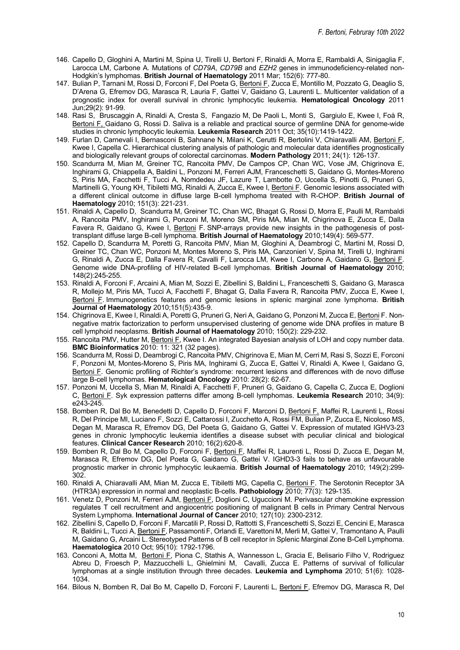- 146. Capello D, Gloghini A, Martini M, Spina U, Tirelli U, Bertoni F, Rinaldi A, Morra E, Rambaldi A, Sinigaglia F, Larocca LM, Carbone A. Mutations of *CD79A*, *CD79B* and *EZH2* genes in immunodeficiency-related non-Hodgkin's lymphomas. **British Journal of Haematology** 2011 Mar; 152(6): 777-80.
- 147. Bulian P, Tarnani M, Rossi D, Forconi F, Del Poeta G, Bertoni F, Zucca E, Montillo M, Pozzato G, Deaglio S, D'Arena G, Efremov DG, Marasca R, Lauria F, Gattei V, Gaidano G, Laurenti L. Multicenter validation of a prognostic index for overall survival in chronic lymphocytic leukemia. **Hematological Oncology** 2011 Jun;29(2): 91-99.
- 148. Rasi S, Bruscaggin A, Rinaldi A, Cresta S, Fangazio M, De Paoli L, Monti S, Gargiulo E, Kwee I, Foà R, Bertoni F, Gaidano G, Rossi D. Saliva is a reliable and practical source of germline DNA for genome-wide studies in chronic lymphocytic leukemia. **Leukemia Research** 2011 Oct; 35(10):1419-1422.
- 149. Furlan D, Carnevali I, Bernasconi B, Sahnane N, Milani K, Cerutti R, Bertolini V, Chiaravalli AM, Bertoni F, Kwee I, Capella C. Hierarchical clustering analysis of pathologic and molecular data identifies prognostically and biologically relevant groups of colorectal carcinomas. **Modern Pathology** 2011; 24(1): 126-137.
- 150. Scandurra M, Mian M, Greiner TC, Rancoita PMV, De Campos CP, Chan WC, Vose JM, Chigrinova E, Inghirami G, Chiappella A, Baldini L, Ponzoni M, Ferreri AJM, Franceschetti S, Gaidano G, Montes-Moreno S, Piris MA, Facchetti F, Tucci A, Nomdedeu JF, Lazure T, Lambotte O, Uccella S, Pinotti G, Pruneri G, Martinelli G, Young KH, Tibiletti MG, Rinaldi A, Zucca E, Kwee I, Bertoni F. Genomic lesions associated with a different clinical outcome in diffuse large B-cell lymphoma treated with R-CHOP. **British Journal of Haematology** 2010; 151(3): 221-231.
- 151. Rinaldi A, Capello D, Scandurra M, Greiner TC, Chan WC, Bhagat G, Rossi D, Morra E, Paulli M, Rambaldi A, Rancoita PMV, Inghirami G, Ponzoni M, Moreno SM, Piris MA, Mian M, Chigrinova E, Zucca E, Dalla Favera R, Gaidano G, Kwee I, Bertoni F. SNP-arrays provide new insights in the pathogenesis of posttransplant diffuse large B-cell lymphoma. **British Journal of Haematology** 2010;149(4): 569-577.
- 152. Capello D, Scandurra M, Poretti G, Rancoita PMV, Mian M, Gloghini A, Deambrogi C, Martini M, Rossi D, Greiner TC, Chan WC, Ponzoni M, Montes Moreno S, Piris MA, Canzonieri V, Spina M, Tirelli U, Inghirami G, Rinaldi A, Zucca E, Dalla Favera R, Cavalli F, Larocca LM, Kwee I, Carbone A, Gaidano G, Bertoni F. Genome wide DNA-profiling of HIV-related B-cell lymphomas. **British Journal of Haematology** 2010; 148(2):245-255.
- 153. Rinaldi A, Forconi F, Arcaini A, Mian M, Sozzi E, Zibellini S, Baldini L, Franceschetti S, Gaidano G, Marasca R, Mollejo M, Piris MA, Tucci A, Facchetti F, Bhagat G, Dalla Favera R, Rancoita PMV, Zucca E, Kwee I, Bertoni F. Immunogenetics features and genomic lesions in splenic marginal zone lymphoma. **British Journal of Haematology** 2010;151(5):435-9.
- 154. Chigrinova E, Kwee I, Rinaldi A, Poretti G, Pruneri G, Neri A, Gaidano G, Ponzoni M, Zucca E, Bertoni F. Nonnegative matrix factorization to perform unsupervised clustering of genome wide DNA profiles in mature B cell lymphoid neoplasms. **British Journal of Haematology** 2010; 150(2): 229-232.
- 155. Rancoita PMV, Hutter M, Bertoni F, Kwee I. An integrated Bayesian analysis of LOH and copy number data. **BMC Bioinformatics** 2010: 11: 321 (32 pages).
- 156. Scandurra M, Rossi D, Deambrogi C, Rancoita PMV, Chigrinova E, Mian M, Cerri M, Rasi S, Sozzi E, Forconi F, Ponzoni M, Montes-Moreno S, Piris MA, Inghirami G, Zucca E, Gattei V, Rinaldi A, Kwee I, Gaidano G, Bertoni F. Genomic profiling of Richter's syndrome: recurrent lesions and differences with de novo diffuse large B-cell lymphomas. **Hematological Oncology** 2010: 28(2): 62-67.
- 157. Ponzoni M, Uccella S, Mian M, Rinaldi A, Facchetti F, Pruneri G, Gaidano G, Capella C, Zucca E, Doglioni C, Bertoni F. Syk expression patterns differ among B-cell lymphomas. **Leukemia Research** 2010; 34(9): e243-245.
- 158. Bomben R, Dal Bo M, Benedetti D, Capello D, Forconi F, Marconi D, Bertoni F, Maffei R, Laurenti L, Rossi R, Del Principe MI, Luciano F, Sozzi E, Cattarossi I, Zucchetto A, Rossi FM, Bulian P, Zucca E, Nicoloso MS, Degan M, Marasca R, Efremov DG, Del Poeta G, Gaidano G, Gattei V. Expression of mutated IGHV3-23 genes in chronic lymphocytic leukemia identifies a disease subset with peculiar clinical and biological features. **Clinical Cancer Research** 2010; 16(2):620-8.
- 159. Bomben R, Dal Bo M, Capello D, Forconi F, Bertoni F, Maffei R, Laurenti L, Rossi D, Zucca E, Degan M, Marasca R, Efremov DG, Del Poeta G, Gaidano G, Gattei V. IGHD3-3 fails to behave as unfavourable prognostic marker in chronic lymphocytic leukaemia. **British Journal of Haematology** 2010; 149(2):299- 302.
- 160. Rinaldi A, Chiaravalli AM, Mian M, Zucca E, Tibiletti MG, Capella C, Bertoni F. The Serotonin Receptor 3A (HTR3A) expression in normal and neoplastic B-cells. **Pathobiology** 2010; 77(3): 129-135.
- 161. Venetz D, Ponzoni M, Ferreri AJM, Bertoni F, Doglioni C, Uguccioni M. Perivascular chemokine expression regulates T cell recruitment and angiocentric positioning of malignant B cells in Primary Central Nervous System Lymphoma. **International Journal of Cancer** 2010; 127(10): 2300-2312.
- 162. Zibellini S, Capello D, Forconi F, Marcatili P, Rossi D, Rattotti S, Franceschetti S,Sozzi E, Cencini E, Marasca R, Baldini L, Tucci A, Bertoni F,Passamonti F, Orlandi E, Varettoni M, Merli M, Gattei V, Tramontano A, Paulli M, Gaidano G, Arcaini L. Stereotyped Patterns of B cell receptor in Splenic Marginal Zone B-Cell Lymphoma. **Haematologica** 2010 Oct; 95(10): 1792-1796.
- 163. Conconi A, Motta M, Bertoni F, Piona C, Stathis A, Wannesson L, Gracia E, Belisario Filho V, Rodriguez Abreu D, Froesch P, Mazzucchelli L, Ghielmini M, Cavalli, Zucca E. Patterns of survival of follicular lymphomas at a single institution through three decades. **Leukemia and Lymphoma** 2010; 51(6): 1028- 1034.
- 164. Bilous N, Bomben R, Dal Bo M, Capello D, Forconi F, Laurenti L, Bertoni F, Efremov DG, Marasca R, Del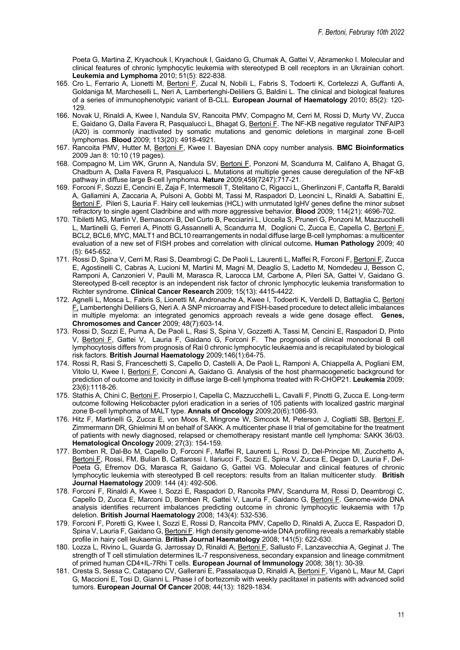Poeta G, Martina Z, Kryachouk I, Kryachouk I, Gaidano G, Chumak A, Gattei V, Abramenko I. Molecular and clinical features of chronic lymphocytic leukemia with stereotyped B cell receptors in an Ukrainian cohort. **Leukemia and Lymphoma** 2010; 51(5): 822-838.

- 165. Cro L, Ferrario A, Lionetti M, Bertoni F, Zucal N, Nobili L, Fabris S, Todoerti K, Cortelezzi A, Guffanti A, Goldaniga M, Marcheselli L, Neri A, Lambertenghi-Deliliers G, Baldini L. The clinical and biological features of a series of immunophenotypic variant of B-CLL. **European Journal of Haematology** 2010; 85(2): 120- 129.
- 166. Novak U, Rinaldi A, Kwee I, Nandula SV, Rancoita PMV, Compagno M, Cerri M, Rossi D, Murty VV, Zucca E, Gaidano G, Dalla Favera R, Pasqualucci L, Bhagat G, Bertoni F. The NF-ΚB negative regulator TNFAIP3 (A20) is commonly inactivated by somatic mutations and genomic deletions in marginal zone B-cell lymphomas. **Blood** 2009; 113(20): 4918-4921.
- 167. Rancoita PMV, Hutter M, Bertoni F, Kwee I. Bayesian DNA copy number analysis. **BMC Bioinformatics**  2009 Jan 8: 10:10 (19 pages).
- 168. Compagno M, Lim WK, Grunn A, Nandula SV, Bertoni E, Ponzoni M, Scandurra M, Califano A, Bhagat G, Chadburn A, Dalla Favera R, Pasqualucci L. Mutations at multiple genes cause deregulation of the NF-kB pathway in diffuse large B-cell lymphoma. **Nature** 2009;459(7247):717-21.
- 169. Forconi F, Sozzi E, Cencini E, Zaja F, Intermesoli T, Stelitano C, Rigacci L, Gherlinzoni F, Cantaffa R, Baraldi A, Gallamini A, Zaccaria A, Pulsoni A, Gobbi M, Tassi M, Raspadori D, Leoncini L, Rinaldi A, Sabattini E, Bertoni F, Pileri S, Lauria F. Hairy cell leukemias (HCL) with unmutated IgHV genes define the minor subset refractory to single agent Cladribine and with more aggressive behavior. **Blood** 2009; 114(21): 4696-702.
- 170. Tibiletti MG, Martin V, Bernasconi B, Del Curto B, Pecciarini L, Uccella S, Pruneri G, Ponzoni M, Mazzucchelli L, Martinelli G, Ferreri A, Pinotti G,Assannelli A, Scandurra M, Doglioni C, Zucca E, Capella C, Bertoni F. BCL2, BCL6, MYC, MALT1 and BCL10 rearrangements in nodal diffuse large B-cell lymphomas: a multicenter evaluation of a new set of FISH probes and correlation with clinical outcome**. Human Pathology** 2009; 40 (5): 645-652.
- 171. Rossi D, Spina V, Cerri M, Rasi S, Deambrogi C, De Paoli L, Laurenti L, Maffei R, Forconi F, Bertoni F, Zucca E, Agostinelli C, Cabras A, Lucioni M, Martini M, Magni M, Deaglio S, Ladetto M, Nomdedeu J, Besson C, Ramponi A, Canzonieri V, Paulli M, Marasca R, Larocca LM, Carbone A, Pileri SA, Gattei V, Gaidano G. Stereotyped B-cell receptor is an independent risk factor of chronic lymphocytic leukemia transformation to Richter syndrome. **Clinical Cancer Research** 2009; 15(13): 4415-4422.
- 172. Agnelli L, Mosca L, Fabris S, Lionetti M, Andronache A, Kwee I, Todoerti K, Verdelli D, Battaglia C, Bertoni F, Lambertenghi Deliliers G, Neri A. A SNP microarray and FISH-based procedure to detect allelic imbalances in multiple myeloma: an integrated genomics approach reveals a wide gene dosage effect. **Genes, Chromosomes and Cancer** 2009; 48(7):603-14.
- 173. Rossi D, Sozzi E, Puma A, De Paoli L, Rasi S, Spina V, Gozzetti A, Tassi M, Cencini E, Raspadori D, Pinto V, Bertoni F, Gattei V, Lauria F, Gaidano G, Forconi F. The prognosis of clinical monoclonal B cell lymphocytosis differs from prognosis of Rai 0 chronic lymphocytic leukaemia and is recapitulated by biological risk factors. **British Journal Haematology** 2009;146(1):64-75.
- 174. Rossi R, Rasi S, Franceschetti S, Capello D, Castelli A, De Paoli L, Ramponi A, Chiappella A, Pogliani EM, Vitolo U, Kwee I, Bertoni F, Conconi A, Gaidano G. Analysis of the host pharmacogenetic background for prediction of outcome and toxicity in diffuse large B-cell lymphoma treated with R-CHOP21. **Leukemia** 2009; 23(6):1118-26.
- 175. Stathis A, Chini C, Bertoni F, Proserpio I, Capella C, Mazzucchelli L, Cavalli F, Pinotti G, Zucca E. Long-term outcome following Helicobacter pylori eradication in a series of 105 patients with localized gastric marginal zone B-cell lymphoma of MALT type. **Annals of Oncology** 2009;20(6):1086-93.
- 176. Hitz F, Martinelli G, Zucca E, von Moos R, Mingrone W, Simcock M, Peterson J, Cogliatti SB, Bertoni F, Zimmermann DR, Ghielmini M on behalf of SAKK. A multicenter phase II trial of gemcitabine for the treatment of patients with newly diagnosed, relapsed or chemotherapy resistant mantle cell lymphoma: SAKK 36/03. **Hematological Oncology** 2009; 27(3): 154-159.
- 177. Bomben R, Dal-Bo M, Capello D, Forconi F, Maffei R, Laurenti L, Rossi D, Del-Principe MI, Zucchetto A, Bertoni F, Rossi, FM, Bulian B, Cattarossi I, Ilariucci F, Sozzi E, Spina V, Zucca E, Degan D, Lauria F, Del-Poeta G, Efremov DG, Marasca R, Gaidano G, Gattei VG. Molecular and clinical features of chronic lymphocytic leukemia with stereotyped B cell receptors: results from an Italian multicenter study. **British Journal Haematology** 2009: 144 (4): 492-506.
- 178. Forconi F, Rinaldi A, Kwee I, Sozzi E, Raspadori D, Rancoita PMV, Scandurra M, Rossi D, Deambrogi C, Capello D, Zucca E, Marconi D, Bomben R, Gattei V, Lauria F, Gaidano G, Bertoni F. Genome-wide DNA analysis identifies recurrent imbalances predicting outcome in chronic lymphocytic leukaemia with 17p deletion. **British Journal Haematology** 2008; 143(4): 532-536.
- 179. Forconi F, Poretti G, Kwee I, Sozzi E, Rossi D, Rancoita PMV, Capello D, Rinaldi A, Zucca E, Raspadori D, Spina V, Lauria F, Gaidano G, Bertoni F. High density genome-wide DNA profiling reveals a remarkably stable profile in hairy cell leukaemia. **British Journal Haematology** 2008; 141(5): 622-630.
- 180. Lozza L, Rivino L, Guarda G, Jarrossay D, Rinaldi A, Bertoni F, Sallusto F, Lanzavecchia A, Geginat J. The strength of T cell stimulation determines IL-7 responsiveness, secondary expansion and lineage commitment of primed human CD4+IL-7Rhi T cells. **European Journal of Immunology** 2008; 38(1): 30-39.
- 181. Cresta S, Sessa C, Catapano CV, Gallerani E, Passalacqua D, Rinaldi A, Bertoni F, Viganò L, Maur M, Capri G, Maccioni E, Tosi D, Gianni L. Phase I of bortezomib with weekly paclitaxel in patients with advanced solid tumors. **European Journal Of Cancer** 2008; 44(13): 1829-1834*.*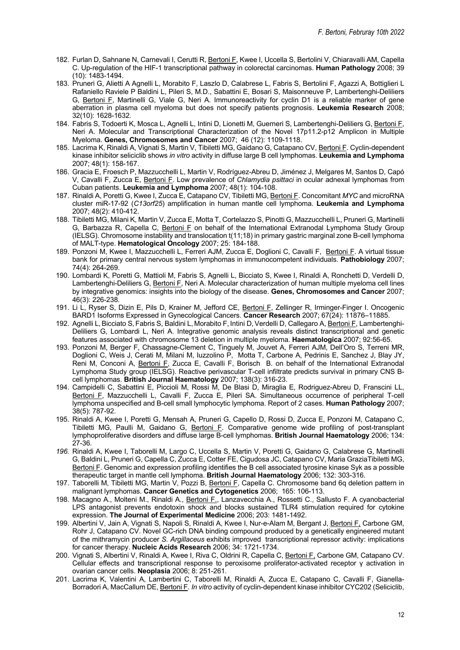- 182. Furlan D, Sahnane N, Carnevali I, Cerutti R, Bertoni F, Kwee I, Uccella S, Bertolini V, Chiaravalli AM, Capella C. Up-regulation of the HIF-1 transcriptional pathway in colorectal carcinomas. **Human Pathology** 2008; 39 (10): 1483-1494.
- 183. Pruneri G, Alietti A Agnelli L, Morabito F, Laszlo D, Calabrese L, Fabris S, Bertolini F, Agazzi A, Bottiglieri L Rafaniello Raviele P Baldini L, Pileri S, M.D., Sabattini E, Bosari S, Maisonneuve P, Lambertenghi-Deliliers G, Bertoni F, Martinelli G, Viale G, Neri A. Immunoreactivity for cyclin D1 is a reliable marker of gene aberration in plasma cell myeloma but does not specify patients prognosis. **Leukemia Research** 2008; 32(10): 1628-1632*.*
- 184. Fabris S, Todoerti K, Mosca L, Agnelli L, Intini D, Lionetti M, Guerneri S, Lambertenghi-Deliliers G, Bertoni F, Neri A. Molecular and Transcriptional Characterization of the Novel 17p11.2-p12 Amplicon in Multiple Myeloma. **Genes, Chromosomes and Cancer** 2007; 46 (12): 1109-1118.
- 185. Lacrima K, Rinaldi A, Vignati S, Martin V, Tibiletti MG, Gaidano G, Catapano CV, Bertoni F. Cyclin-dependent kinase inhibitor seliciclib shows *in vitro* activity in diffuse large B cell lymphomas. **Leukemia and Lymphoma**  2007; 48(1): 158-167.
- 186. Gracia E, Froesch P, Mazzucchelli L, Martin V, Rodríguez-Abreu D, Jiménez J, Melgares M, Santos D, Capó V, Cavalli F, Zucca E, Bertoni F. Low prevalence of *Chlamydia psittaci* in ocular adnexal lymphomas from Cuban patients. **Leukemia and Lymphoma** 2007; 48(1): 104-108.
- 187. Rinaldi A, Poretti G, Kwee I, Zucca E, Catapano CV, Tibiletti MG, Bertoni F. Concomitant *MYC* and microRNA cluster miR-17-92 (*C13orf25*) amplification in human mantle cell lymphoma. **Leukemia and Lymphoma**  2007; 48(2): 410-412.
- 188. Tibiletti MG, Milani K, Martin V, Zucca E, Motta T, Cortelazzo S, Pinotti G, Mazzucchelli L, Pruneri G, Martinelli G, Barbazza R, Capella C, Bertoni F on behalf of the International Extranodal Lymphoma Study Group (IELSG). Chromosome instability and translocation t(11;18) in primary gastric marginal zone B-cell lymphoma of MALT-type. **Hematological Oncology** 2007; 25: 184-188.
- 189. Ponzoni M, Kwee I, Mazzucchelli L, Ferreri AJM, Zucca E, Doglioni C, Cavalli F, Bertoni F. A virtual tissue bank for primary central nervous system lymphomas in immunocompetent individuals. **Pathobiology** 2007; 74(4): 264-269.
- 190. Lombardi K, Poretti G, Mattioli M, Fabris S, Agnelli L, Bicciato S, Kwee I, Rinaldi A, Ronchetti D, Verdelli D, Lambertenghi-Deliliers G, Bertoni F, Neri A. Molecular characterization of human multiple myeloma cell lines by integrative genomics: insights into the biology of the disease. **Genes, Chromosomes and Cancer** 2007; 46(3): 226-238*.*
- 191. Li L, Ryser S, Dizin E, Pils D, Krainer M, Jefford CE, Bertoni F, Zellinger R, Irminger-Finger I. Oncogenic BARD1 Isoforms Expressed in Gynecological Cancers. **Cancer Research** 2007; 67(24): 11876–11885.
- 192. Agnelli L, Bicciato S, Fabris S, Baldini L, Morabito F, Intini D, Verdelli D, Callegaro A, Bertoni F, Lambertenghi-Deliliers G, Lombardi L, Neri A. Integrative genomic analysis reveals distinct transcriptional and genetic features associated with chromosome 13 deletion in multiple myeloma. **Haematologica** 2007; 92:56-65.
- 193. Ponzoni M, Berger F, Chassagne-Clement C, Tinguely M, Jouvet A, Ferreri AJM, Dell'Oro S, Terreni MR, Doglioni C, Weis J, Cerati M, Milani M, Iuzzolino P, Motta T, Carbone A, Pedrinis E, Sanchez J, Blay JY, Reni M, Conconi A, *Bertoni F, Zucca E, Cavalli F, Borisch B. on behalf of the International Extranodal* Lymphoma Study group (IELSG). Reactive perivascular T-cell infiltrate predicts survival in primary CNS Bcell lymphomas. **British Journal Haematology** 2007; 138(3): 316-23.
- 194. Campidelli C, Sabattini E, Piccioli M, Rossi M, De Blasi D, Miraglia E, Rodriguez-Abreu D, Franscini LL, Bertoni F, Mazzucchelli L, Cavalli F, Zucca E, Pileri SA. Simultaneous occurrence of peripheral T-cell lymphoma unspecified and B-cell small lymphocytic lymphoma. Report of 2 cases. **Human Pathology** 2007; 38(5): 787-92.
- 195. Rinaldi A, Kwee I, Poretti G, Mensah A, Pruneri G, Capello D, Rossi D, Zucca E, Ponzoni M, Catapano C, Tibiletti MG, Paulli M, Gaidano G, Bertoni F. Comparative genome wide profiling of post-transplant lymphoproliferative disorders and diffuse large B-cell lymphomas. **British Journal Haematology** 2006; 134: 27-36*.*
- *196.* Rinaldi A, Kwee I, Taborelli M, Largo C, Uccella S, Martin V, Poretti G, Gaidano G, Calabrese G, Martinelli G, Baldini L, Pruneri G, Capella C, Zucca E, Cotter FE, Cigudosa JC, Catapano CV, Maria GraziaTibiletti MG, Bertoni F. Genomic and expression profiling identifies the B cell associated tyrosine kinase Syk as a possible therapeutic target in mantle cell lymphoma. **British Journal Haematology** 2006; 132: 303-316*.*
- 197. Taborelli M, Tibiletti MG, Martin V, Pozzi B, Bertoni F, Capella C. Chromosome band 6q deletion pattern in malignant lymphomas. **Cancer Genetics and Cytogenetics** 2006; 165: 106-113.
- 198. Macagno A., Molteni M., Rinaldi A., Bertoni F., Lanzavecchia A., Rossetti C., Sallusto F. A cyanobacterial LPS antagonist prevents endotoxin shock and blocks sustained TLR4 stimulation required for cytokine expression. **The Journal of Experimental Medicine** 2006; 203: 1481-1492.
- 199. Albertini V, Jain A, Vignati S, Napoli S, Rinaldi A, Kwee I, Nur-e-Alam M, Bergant J, Bertoni F, Carbone GM, Rohr J, Catapano CV. Novel GC-rich DNA binding compound produced by a genetically engineered mutant of the mithramycin producer *S. Argillaceus* exhibits improved transcriptional repressor activity: implications for cancer therapy. **Nucleic Acids Research** 2006; 34: 1721-1734.
- 200. Vignati S, Albertini V, Rinaldi A, Kwee I, Riva C, Oldrini R, Capella C, Bertoni F, Carbone GM, Catapano CV. Cellular effects and transcriptional response to peroxisome proliferator-activated receptor γ activation in ovarian cancer cells. **Neoplasia** 2006; 8: 251-261*.*
- 201. Lacrima K, Valentini A, Lambertini C, Taborelli M, Rinaldi A, Zucca E, Catapano C, Cavalli F, Gianella-Borradori A, MacCallum DE, Bertoni F. *In vitro* activity of cyclin-dependent kinase inhibitor CYC202 (Seliciclib,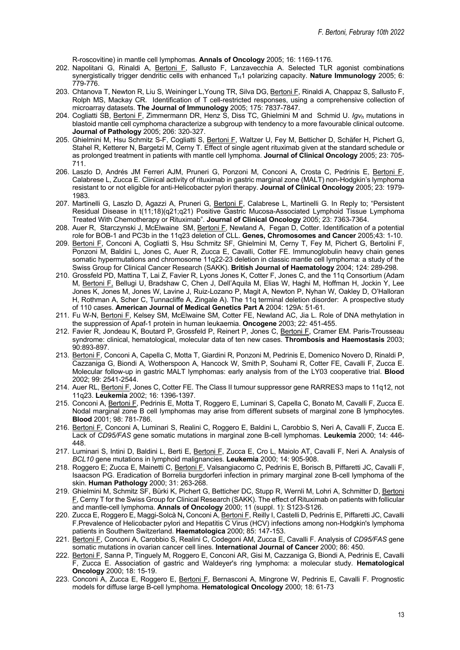R-roscovitine) in mantle cell lymphomas. **Annals of Oncology** 2005; 16: 1169-1176.

- 202. Napolitani G, Rinaldi A, Bertoni F, Sallusto F, Lanzavecchia A. Selected TLR agonist combinations synergistically trigger dendritic cells with enhanced T<sub>H</sub>1 polarizing capacity. **Nature Immunology** 2005; 6: 779-776.
- 203. Chtanova T, Newton R, Liu S, Weininger L, Young TR, Silva DG, Bertoni F, Rinaldi A, Chappaz S, Sallusto F, Rolph MS, Mackay CR. Identification of T cell-restricted responses, using a comprehensive collection of microarray datasets. **The Journal of Immunology** 2005; 175: 7837-7847*.*
- 204. Cogliatti SB, Bertoni F, Zimmermann DR, Henz S, Diss TC, Ghielmini M and Schmid U. *Igvh* mutations in blastoid mantle cell cymphoma characterize a subgroup with tendency to a more favourable clinical outcome. **Journal of Pathology** 2005; 206: 320-327.
- 205. Ghielmini M, Hsu Schmitz S-F, Cogliatti S, Bertoni F, Waltzer U, Fey M, Betticher D, Schäfer H, Pichert G, Stahel R, Ketterer N, Bargetzi M, Cerny T. Effect of single agent rituximab given at the standard schedule or as prolonged treatment in patients with mantle cell lymphoma. **Journal of Clinical Oncology** 2005; 23: 705- 711.
- 206. Laszlo D, Andrés JM Ferreri AJM, Pruneri G, Ponzoni M, Conconi A, Crosta C, Pedrinis E, Bertoni F, Calabrese L, Zucca E. Clinical activity of rituximab in gastric marginal zone (MALT) non-Hodgkin's lymphoma resistant to or not eligible for anti-Helicobacter pylori therapy. **Journal of Clinical Oncology** 2005; 23: 1979- 1983.
- 207. Martinelli G, Laszlo D, Agazzi A, Pruneri G, Bertoni F, Calabrese L, Martinelli G. In Reply to; "Persistent Residual Disease in t(11;18)(q21;q21) Positive Gastric Mucosa-Associated Lymphoid Tissue Lymphoma Treated With Chemotherapy or Rituximab". **Journal of Clinical Oncology** 2005; 23: 7363-7364.
- 208. Auer R, Starczynski J, McElwaine SM, Bertoni F, Newland A, Fegan D, Cotter. Identification of a potential role for BOB-1 and PC3b in the 11q23 deletion of CLL. **Genes, Chromosomes and Cancer** 2005;43: 1-10.
- 209. Bertoni F, Conconi A, Cogliatti S, Hsu Schmitz SF, Ghielmini M, Cerny T, Fey M, Pichert G, Bertolini F, Ponzoni M, Baldini L, Jones C, Auer R, Zucca E, Cavalli, Cotter FE. Immunoglobulin heavy chain genes somatic hypermutations and chromosome 11q22-23 deletion in classic mantle cell lymphoma: a study of the Swiss Group for Clinical Cancer Research (SAKK). **British Journal of Haematology** 2004; 124: 289-298.
- 210. Grossfeld PD, Mattina T, Lai Z, Favier R, Lyons Jones K, Cotter F, Jones C, and the 11q Consortium (Adam M, Bertoni F, Bellugi U, Bradshaw C, Chen J, Dell'Aquila M, Elias W, Haghi M, Hoffman H, Jockin Y, Lee Jones K, Jones M, Jones W, Lavine J, Ruiz-Lozano P, Magit A, Newton P, Nyhan W, Oakley D, O'Halloran H, Rothman A, Scher C, Tunnacliffe A, Zingale A). The 11q terminal deletion disorder: A prospective study of 110 cases. **American Journal of Medical Genetics Part A** 2004: 129A: 51-61.
- 211. Fu W-N, Bertoni F, Kelsey SM, McElwaine SM, Cotter FE, Newland AC, Jia L. Role of DNA methylation in the suppression of Apaf-1 protein in human leukaemia. **Oncogene** 2003; 22: 451-455.
- 212. Favier R, Jondeau K, Boutard P, Grossfeld P, Reinert P, Jones C, Bertoni F, Cramer EM. Paris-Trousseau syndrome: clinical, hematological, molecular data of ten new cases. **Thrombosis and Haemostasis** 2003; 90:893-897.
- 213. Bertoni F, Conconi A, Capella C, Motta T, Giardini R, Ponzoni M, Pedrinis E, Domenico Novero D, Rinaldi P, Cazzaniga G, Biondi A, Wotherspoon A, Hancock W, Smith P, Souhami R, Cotter FE, Cavalli F, Zucca E. Molecular follow-up in gastric MALT lymphomas: early analysis from of the LY03 cooperative trial. **Blood** 2002; 99: 2541-2544.
- 214. Auer RL, Bertoni F, Jones C, Cotter FE. The Class II tumour suppressor gene RARRES3 maps to 11q12, not 11q23. **Leukemia** 2002; 16: 1396-1397.
- 215. Conconi A, Bertoni F, Pedrinis E, Motta T, Roggero E, Luminari S, Capella C, Bonato M, Cavalli F, Zucca E. Nodal marginal zone B cell lymphomas may arise from different subsets of marginal zone B lymphocytes. **Blood** 2001; 98: 781-786.
- 216. Bertoni F, Conconi A, Luminari S, Realini C, Roggero E, Baldini L, Carobbio S, Neri A, Cavalli F, Zucca E. Lack of *CD95/FAS* gene somatic mutations in marginal zone B-cell lymphomas. **Leukemia** 2000; 14: 446- 448.
- 217. Luminari S, Intini D, Baldini L, Berti E, Bertoni F, Zucca E, Cro L, Maiolo AT, Cavalli F, Neri A. Analysis of *BCL10* gene mutations in lymphoid malignancies. **Leukemia** 2000; 14: 905-908.
- 218. Roggero E; Zucca E, Mainetti C, Bertoni F, Valsangiacomo C, Pedrinis E, Borisch B, Piffaretti JC, Cavalli F, Isaacson PG. Eradication of Borrelia burgdorferi infection in primary marginal zone B-cell lymphoma of the skin. **Human Pathology** 2000; 31: 263-268.
- 219. Ghielmini M, Schmitz SF, Bürki K, Pichert G, Betticher DC, Stupp R, Wernli M, Lohri A, Schmitter D, Bertoni F, Cerny T for the Swiss Group for Clinical Research (SAKK). The effect of Rituximab on patients with follicular and mantle-cell lymphoma. **Annals of Oncology** 2000; 11 (suppl. 1): S123-S126.
- 220. Zucca E, Roggero E, Maggi-Solcà N**,** Conconi A, Bertoni F, Reilly I, Castelli D, Pedrinis E, Piffaretti JC, Cavalli F.Prevalence of Helicobacter pylori and Hepatitis C Virus (HCV) infections among non-Hodgkin's lymphoma patients in Southern Switzerland. **Haematologica** 2000; 85: 147-153.
- 221. Bertoni F, Conconi A, Carobbio S, Realini C, Codegoni AM, Zucca E, Cavalli F. Analysis of *CD95/FAS* gene somatic mutations in ovarian cancer cell lines. **International Journal of Cancer** 2000; 86: 450.
- 222. Bertoni F, Sanna P, Tinguely M, Roggero E, Conconi AR, Gisi M, Cazzaniga G, Biondi A, Pedrinis E, Cavalli F, Zucca E. Association of gastric and Waldeyer's ring lymphoma: a molecular study. **Hematological Oncology** 2000; 18: 15-19.
- 223. Conconi A, Zucca E, Roggero E, Bertoni F, Bernasconi A, Mingrone W, Pedrinis E, Cavalli F. Prognostic models for diffuse large B-cell lymphoma. **Hematological Oncology** 2000; 18: 61-73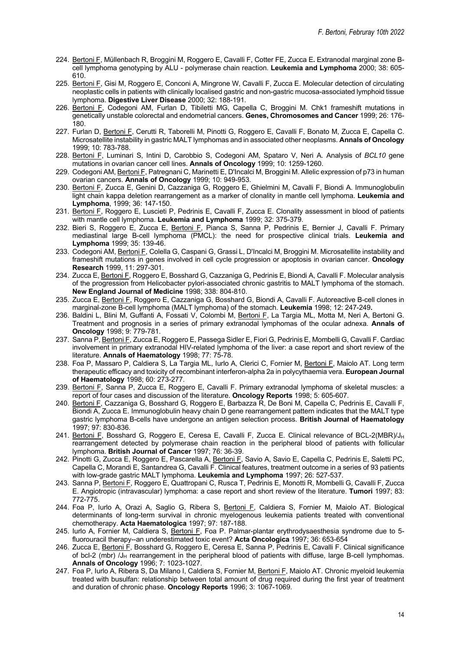- 224. Bertoni F, Müllenbach R, Broggini M, Roggero E, Cavalli F, Cotter FE, Zucca E**.** Extranodal marginal zone Bcell lymphoma genotyping by ALU - polymerase chain reaction. **Leukemia and Lymphoma** 2000; 38: 605- 610.
- 225. Bertoni F, Gisi M, Roggero E, Conconi A, Mingrone W, Cavalli F, Zucca E. Molecular detection of circulating neoplastic cells in patients with clinically localised gastric and non-gastric mucosa-associated lymphoid tissue lymphoma. **Digestive Liver Disease** 2000; 32: 188-191.
- 226. Bertoni F, Codegoni AM, Furlan D, Tibiletti MG, Capella C, Broggini M. Chk1 frameshift mutations in genetically unstable colorectal and endometrial cancers. **Genes, Chromosomes and Cancer** 1999; 26: 176- 180.
- 227. Furlan D, Bertoni F, Cerutti R, Taborelli M, Pinotti G, Roggero E, Cavalli F, Bonato M, Zucca E, Capella C. Microsatellite instability in gastric MALT lymphomas and in associated other neoplasms. **Annals of Oncology**  1999; 10: 783-788.
- 228. Bertoni F, Luminari S, Intini D, Carobbio S, Codegoni AM, Spataro V, Neri A. Analysis of *BCL10* gene mutations in ovarian cancer cell lines. **Annals of Oncology** 1999; 10: 1259-1260.
- 229. Codegoni AM, Bertoni F, Patregnani C, Marinetti E, D'Incalci M, Broggini M. Allelic expression of p73 in human ovarian cancers. **Annals of Oncology** 1999; 10: 949-953.
- 230. Bertoni F, Zucca E, Genini D, Cazzaniga G, Roggero E, Ghielmini M, Cavalli F, Biondi A. Immunoglobulin light chain kappa deletion rearrangement as a marker of clonality in mantle cell lymphoma. **Leukemia and Lymphoma**, 1999; 36: 147-150.
- 231. Bertoni F, Roggero E, Luscieti P, Pedrinis E, Cavalli F, Zucca E. Clonality assessment in blood of patients with mantle cell lymphoma. **Leukemia and Lymphoma** 1999; 32: 375-379.
- 232. Bieri S, Roggero E, Zucca E, Bertoni F, Pianca S, Sanna P, Pedrinis E, Bernier J, Cavalli F. Primary mediastinal large B-cell lymphoma (PMCL): the need for prospective clinical trials. **Leukemia and Lymphoma** 1999; 35: 139-46.
- 233. Codegoni AM, Bertoni F, Colella G, Caspani G, Grassi L, D'Incalci M, Broggini M. Microsatellite instability and frameshift mutations in genes involved in cell cycle progression or apoptosis in ovarian cancer. **Oncology Research** 1999, 11: 297-301.
- 234. Zucca E, Bertoni F, Roggero E, Bosshard G, Cazzaniga G, Pedrinis E, Biondi A, Cavalli F. Molecular analysis of the progression from Helicobacter pylori-associated chronic gastritis to MALT lymphoma of the stomach. **New England Journal of Medicine** 1998; 338: 804-810.
- 235. Zucca E, Bertoni F, Roggero E, Cazzaniga G, Bosshard G, Biondi A, Cavalli F. Autoreactive B-cell clones in marginal-zone B-cell lymphoma (MALT lymphoma) of the stomach. **Leukemia** 1998; 12: 247-249**.**
- 236. Baldini L, Blini M, Guffanti A, Fossati V, Colombi M, Bertoni F, La Targia ML, Motta M, Neri A, Bertoni G. Treatment and prognosis in a series of primary extranodal lymphomas of the ocular adnexa. **Annals of Oncology** 1998; 9: 779-781.
- 237. Sanna P, Bertoni F, Zucca E, Roggero E, Passega Sidler E, Fiori G, Pedrinis E, Mombelli G, Cavalli F. Cardiac involvement in primary extranodal HIV-related lymphoma of the liver: a case report and short review of the literature. **Annals of Haematology** 1998; 77: 75-78.
- 238. Foa P, Massaro P, Caldiera S, La Targia ML, Iurlo A, Clerici C, Fornier M, Bertoni F, Maiolo AT. Long term therapeutic efficacy and toxicity of recombinant interferon-alpha 2a in polycythaemia vera. **European Journal of Haematology** 1998; 60: 273-277.
- 239. Bertoni F, Sanna P, Zucca E, Roggero E, Cavalli F. Primary extranodal lymphoma of skeletal muscles: a report of four cases and discussion of the literature. **Oncology Reports** 1998; 5: 605-607.
- 240. Bertoni F, Cazzaniga G, Bosshard G, Roggero E, Barbazza R, De Boni M, Capella C, Pedrinis E, Cavalli F, Biondi A, Zucca E. Immunoglobulin heavy chain D gene rearrangement pattern indicates that the MALT type gastric lymphoma B-cells have undergone an antigen selection process. **British Journal of Haematology**  1997; 97: 830-836.
- 241. Bertoni F, Bosshard G, Roggero E, Ceresa E, Cavalli F, Zucca E. Clinical relevance of BCL-2(MBR)/J<sub>H</sub> rearrangement detected by polymerase chain reaction in the peripheral blood of patients with follicular lymphoma. **British Journal of Cancer** 1997; 76: 36-39.
- 242. Pinotti G, Zucca E, Roggero E, Pascarella A, Bertoni F, Savio A, Savio E, Capella C, Pedrinis E, Saletti PC, Capella C, Morandi E, Santandrea G, Cavalli F. Clinical features, treatment outcome in a series of 93 patients with low-grade gastric MALT lymphoma. **Leukemia and Lymphoma** 1997; 26: 527-537.
- 243. Sanna P, Bertoni F, Roggero E, Quattropani C, Rusca T, Pedrinis E, Monotti R, Mombelli G, Cavalli F, Zucca E. Angiotropic (intravascular) lymphoma: a case report and short review of the literature. **Tumori** 1997; 83: 772-775.
- 244. Foa P, Iurlo A, Orazi A, Saglio G, Ribera S, Bertoni F, Caldiera S, Fornier M, Maiolo AT. Biological determinants of long-term survival in chronic myelogenous leukemia patients treated with conventional chemotherapy. **Acta Haematologica** 1997; 97: 187-188.
- 245. Iurlo A, Fornier M, Caldiera S, Bertoni F, Foa P. Palmar-plantar erythrodysaesthesia syndrome due to 5fluorouracil therapy--an underestimated toxic event? **Acta Oncologica** 1997; 36: 653-654
- 246. Zucca E, Bertoni F, Bosshard G, Roggero E, Ceresa E, Sanna P, Pedrinis E, Cavalli F. Clinical significance of bcl-2 (mbr)  $/J_H$  rearrangement in the peripheral blood of patients with diffuse, large B-cell lymphomas. **Annals of Oncology** 1996; 7: 1023-1027.
- 247. Foa P, Iurlo A, Ribera S, Da Milano I, Caldiera S, Fornier M, Bertoni F, Maiolo AT. Chronic myeloid leukemia treated with busulfan: relationship between total amount of drug required during the first year of treatment and duration of chronic phase. **Oncology Reports** 1996; 3: 1067-1069.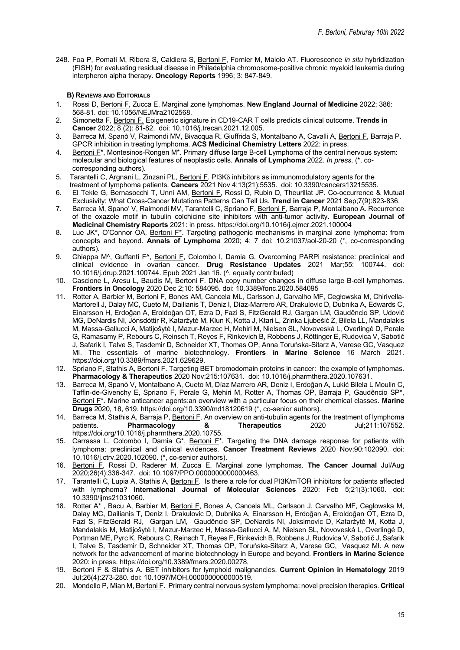248. Foa P, Pomati M, Ribera S, Caldiera S, Bertoni F, Fornier M, Maiolo AT. Fluorescence *in situ* hybridization (FISH) for evaluating residual disease in Philadelphia chromosome-positive chronic myeloid leukemia during interpheron alpha therapy. **Oncology Reports** 1996; 3: 847-849.

### **B) REVIEWS AND EDITORIALS**

- 1. Rossi D, Bertoni F, Zucca E. Marginal zone lymphomas. **New England Journal of Medicine** 2022; 386: 568-81. doi: 10.1056/NEJMra2102568.
- 2. Simonetta F, Bertoni F. Epigenetic signature in CD19-CAR T cells predicts clinical outcome. **Trends in Cancer** 2022; 8 (2): 81-82. doi: 10.1016/j.trecan.2021.12.005.
- 3. Barreca M, Spanò V, Raimondi MV, Bivacqua R, Giuffrida S, Montalbano A, Cavalli A, Bertoni F, Barraja P. GPCR inhibition in treating lymphoma. **ACS Medicinal Chemistry Letters** 2022: in press.
- 4. Bertoni F<sup>\*</sup>, Montesinos-Rongen M<sup>\*</sup>. Primary diffuse large B-cell Lymphoma of the central nervous system: molecular and biological features of neoplastic cells. **Annals of Lymphoma** 2022. *In press*. (\*, cocorresponding authors).
- 5. Tarantelli C, Argnani L, Zinzani PL, Bertoni F. PI3K8 inhibitors as immunomodulatory agents for the treatment of lymphoma patients. **Cancers** 2021 Nov 4;13(21):5535. doi: 10.3390/cancers13215535.
- 6. El Tekle G, Bernasocchi T, Unni AM, Bertoni F, Rossi D, Rubin D, Theurillat JP. Co-occurrence & Mutual Exclusivity: What Cross-Cancer Mutations Patterns Can Tell Us. **Trend in Cancer** 2021 Sep;7(9):823-836.
- 7. Barreca M, Spano' V, Raimondi MV, Tarantelli C, Spriano F, Bertoni F, Barraja P, Montalbano A. Recurrence of the oxazole motif in tubulin colchicine site inhibitors with anti-tumor activity. **European Journal of Medicinal Chemistry Reports** 2021: in press. https://doi.org/10.1016/j.ejmcr.2021.100004
- 8. Lue JK\*, O'Connor OA, Bertoni F\*. Targeting pathogenic mechanisms in marginal zone lymphoma: from concepts and beyond. **Annals of Lymphoma** 2020; 4: 7 doi: 10.21037/aol-20-20 (\*, co-corresponding authors).
- 9. Chiappa M^, Guffanti F^, Bertoni F, Colombo I, Damia G. Overcoming PARPi resistance: preclinical and clinical evidence in ovarian cancer. **Drug Resistance Updates** 2021 Mar;55: 100744. doi: 10.1016/j.drup.2021.100744. Epub 2021 Jan 16. (^, equally contributed)
- 10. Cascione L, Aresu L, Baudis M, Bertoni F. DNA copy number changes in diffuse large B-cell lymphomas. **Frontiers in Oncology** 2020 Dec 2;10: 584095. doi: 10.3389/fonc.2020.584095
- 11. Rotter A, Barbier M, Bertoni F, Bones AM, Cancela ML, Carlsson J, Carvalho MF, Cegłowska M, Chirivella-Martorell J, Dalay MC, Cueto M, Dailianis T, Deniz I, Díaz-Marrero AR, Drakulovic D, Dubnika A, Edwards C, Einarsson H, Erdoğan A, Eroldoğan OT, Ezra D, Fazi S, FitzGerald RJ, Gargan LM, Gaudêncio SP, Udovič MG, DeNardis NI, Jónsdóttir R, Kataržytė M, Klun K, Kotta J, Ktari L, Zrinka Ljubešić Z, Bilela LL, Mandalakis M, Massa-Gallucci A, Matijošytė I, Mazur-Marzec H, Mehiri M, Nielsen SL, Novoveská L, Overlingė D, Perale G, Ramasamy P, Rebours C, Reinsch T, Reyes F, Rinkevich B, Robbens J, Röttinger E, Rudovica V, Sabotič J, Safarik I, Talve S, Tasdemir D, Schneider XT, Thomas OP, Anna Toruńska-Sitarz A, Varese GC, Vasquez MI. The essentials of marine biotechnology. **Frontiers in Marine Science** 16 March 2021. https://doi.org/10.3389/fmars.2021.629629.
- 12. Spriano F, Stathis A, Bertoni F. Targeting BET bromodomain proteins in cancer: the example of lymphomas. **Pharmacology & Therapeutics** 2020 Nov;215:107631. doi: 10.1016/j.pharmthera.2020.107631.
- 13. Barreca M, Spanò V, Montalbano A, Cueto M, Díaz Marrero AR, Deniz I, Erdoğan A, Lukić Bilela L Moulin C, Taffin-de-Givenchy E, Spriano F, Perale G, Mehiri M, Rotter A, Thomas OP, Barraja P, Gaudêncio SP\*, Bertoni F\*. Marine anticancer agents:an overview with a particular focus on their chemical classes. **Marine Drugs** 2020, 18, 619. https://doi.org/10.3390/md18120619 (\*, co-senior authors).
- 14. Barreca M, Stathis A, Barraja P, <u>Bertoni F</u>. An overview on anti-tubulin agents for the treatment of lymphoma<br>1911:107552. patients. **Pharmacology 8. Therapeutics** 2020 Jul:211:107552. Pharmacology **8** Therapeutics 2020 Jul;211:107552. https://doi.org/10.1016/j.pharmthera.2020.10755.
- 15. Carrassa L, Colombo I, Damia G<sup>\*</sup>, Bertoni F<sup>\*</sup>. Targeting the DNA damage response for patients with lymphoma: preclinical and clinical evidences. **Cancer Treatment Reviews** 2020 Nov;90:102090. doi: 10.1016/j.ctrv.2020.102090. (\*, co-senior authors).
- 16. Bertoni F, Rossi D, Raderer M, Zucca E. Marginal zone lymphomas. **The Cancer Journal** Jul/Aug 2020;26(4):336-347. doi: 10.1097/PPO.0000000000000463.
- 17. Tarantelli C, Lupia A, Stathis A, Bertoni F. Is there a role for dual PI3K/mTOR inhibitors for patients affected with lymphoma? **International Journal of Molecular Sciences** 2020: Feb 5;21(3):1060. doi: 10.3390/ijms21031060.
- 18. Rotter A<sup>\*</sup>, Bacu A, Barbier M, <u>Bertoni F,</u> Bones A, Cancela ML, Carlsson J, Carvalho MF, Cegłowska M, Dalay MC, Dailianis T, Deniz I, Drakulovic D, Dubnika A, Einarsson H, Erdoğan A, Eroldoğan OT, Ezra D, Fazi S, FitzGerald RJ, Gargan LM, Gaudêncio SP, DeNardis NI, Joksimovic D, Kataržytė M, Kotta J, Mandalakis M, Matijošytė I, Mazur-Marzec H, Massa-Gallucci A, M, Nielsen SL, Novoveská L, Overlingė D, Portman ME, Pyrc K, Rebours C, Reinsch T, Reyes F, Rinkevich B, Robbens J, Rudovica V, Sabotič J, Safarik I, Talve S, Tasdemir D, Schneider XT, Thomas OP, Toruńska-Sitarz A, Varese GC, Vasquez MI. A new network for the advancement of marine biotechnology in Europe and beyond. **Frontiers in Marine Science** 2020: in press. https://doi.org/10.3389/fmars.2020.00278*.*
- 19. Bertoni F & Stathis A. BET inhibitors for lymphoid malignancies. **Current Opinion in Hematology** 2019 Jul;26(4):273-280. doi: 10.1097/MOH.0000000000000519.
- 20. Mondello P, Mian M, Bertoni F. Primary central nervous system lymphoma: novel precision therapies. **Critical**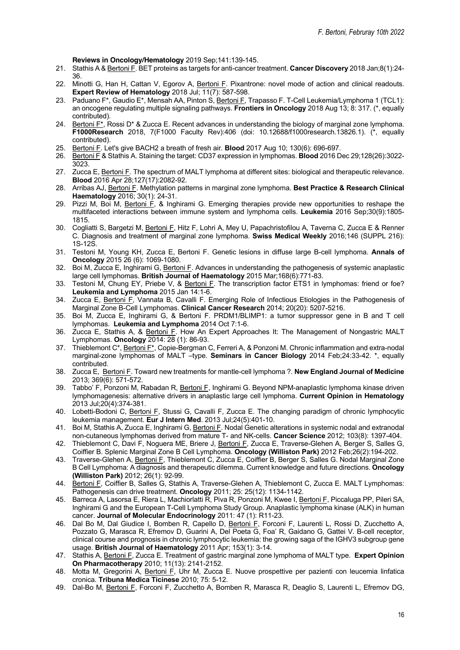**Reviews in Oncology/Hematology** 2019 Sep;141:139-145.

- 21. Stathis A & Bertoni F. BET proteins as targets for anti-cancer treatment. **Cancer Discovery** 2018 Jan;8(1):24- 36.
- 22. Minotti G, Han H, Cattan V, Egorov A, Bertoni F. Pixantrone: novel mode of action and clinical readouts. **Expert Review of Hematology** 2018 Jul; 11(7): 587-598.
- 23. Paduano F\*, Gaudio E\*, Mensah AA, Pinton S, Bertoni F, Trapasso F. T-Cell Leukemia/Lymphoma 1 (TCL1): an oncogene regulating multiple signaling pathways. **Frontiers in Oncology** 2018 Aug 13; 8: 317. (\*, equally contributed).
- 24. Bertoni  $F^*$ , Rossi D<sup>\*</sup> & Zucca E. Recent advances in understanding the biology of marginal zone lymphoma. **F1000Research** 2018, 7(F1000 Faculty Rev):406 (doi: 10.12688/f1000research.13826.1). (\*, equally contributed).
- 25. Bertoni F. Let's give BACH2 a breath of fresh air. **Blood** 2017 Aug 10; 130(6): 696-697.
- 26. Bertoni F & Stathis A. Staining the target: CD37 expression in lymphomas. **Blood** 2016 Dec 29;128(26):3022- 3023.
- 27. Zucca E, Bertoni F. The spectrum of MALT lymphoma at different sites: biological and therapeutic relevance. **Blood** 2016 Apr 28;127(17):2082-92.
- 28. Arribas AJ, Bertoni F. Methylation patterns in marginal zone lymphoma. **Best Practice & Research Clinical Haematology** 2016; 30(1): 24-31.
- 29. Pizzi M, Boi M, Bertoni F, & Inghirami G. Emerging therapies provide new opportunities to reshape the multifaceted interactions between immune system and lymphoma cells. **Leukemia** 2016 Sep;30(9):1805- 1815.
- 30. Cogliatti S, Bargetzi M, Bertoni F, Hitz F, Lohri A, Mey U, Papachristofilou A, Taverna C, Zucca E & Renner C. Diagnosis and treatment of marginal zone lymphoma. **Swiss Medical Weekly** 2016;146 (SUPPL 216): 1S-12S.
- 31. Testoni M, Young KH, Zucca E, Bertoni F. Genetic lesions in diffuse large B-cell lymphoma. **Annals of Oncology** 2015 26 (6): 1069-1080.
- 32. Boi M, Zucca E, Inghirami G, Bertoni F. Advances in understanding the pathogenesis of systemic anaplastic large cell lymphomas. **British Journal of Haematology** 2015 Mar;168(6):771-83.
- 33. Testoni M, Chung EY, Priebe V, & Bertoni F. The transcription factor ETS1 in lymphomas: friend or foe? **Leukemia and Lymphoma** 2015 Jan 14:1-6.
- 34. Zucca E, Bertoni F, Vannata B, Cavalli F. Emerging Role of Infectious Etiologies in the Pathogenesis of Marginal Zone B-Cell Lymphomas. **Clinical Cancer Research** 2014; 20(20): 5207-5216.
- 35. Boi M, Zucca E, Inghirami G, & Bertoni F. PRDM1/BLIMP1: a tumor suppressor gene in B and T cell lymphomas. **Leukemia and Lymphoma** 2014 Oct 7:1-6.
- 36. Zucca E, Stathis A, & Bertoni F. How An Expert Approaches It: The Management of Nongastric MALT Lymphomas. **Oncology** 2014: 28 (1): 86-93.
- 37. Thieblemont C\*, Bertoni F\*, Copie-Bergman C, Ferreri A, & Ponzoni M. Chronic inflammation and extra-nodal marginal-zone lymphomas of MALT –type. **Seminars in Cancer Biology** 2014 Feb;24:33-42. \*, equally contributed.
- 38. Zucca E, Bertoni F. Toward new treatments for mantle-cell lymphoma ?. **New England Journal of Medicine** 2013; 369(6): 571-572.
- 39. Tabbo' F, Ponzoni M, Rabadan R, Bertoni F, Inghirami G. Beyond NPM-anaplastic lymphoma kinase driven lymphomagenesis: alternative drivers in anaplastic large cell lymphoma. **Current Opinion in Hematology** 2013 Jul;20(4):374-381.
- 40. Lobetti-Bodoni C, Bertoni F, Stussi G, Cavalli F, Zucca E. The changing paradigm of chronic lymphocytic leukemia management. **Eur J Intern Med**. 2013 Jul;24(5):401-10.
- 41. Boi M, Stathis A, Zucca E, Inghirami G, Bertoni F. Nodal Genetic alterations in systemic nodal and extranodal non-cutaneous lymphomas derived from mature T- and NK-cells. **Cancer Science** 2012; 103(8): 1397-404.
- 42. Thieblemont C, Davi F, Noguera ME, Briere J, Bertoni F, Zucca E, Traverse-Glehen A, Berger S, Salles G, Coiffier B. Splenic Marginal Zone B Cell Lymphoma. **Oncology (Williston Park)** 2012 Feb;26(2):194-202.
- 43. Traverse-Glehen A, Bertoni F, Thieblemont C, Zucca E, Coiffier B, Berger S, Salles G. Nodal Marginal Zone B Cell Lymphoma: A diagnosis and therapeutic dilemma. Current knowledge and future directions. **Oncology (Williston Park)** 2012; 26(1): 92-99.
- 44. Bertoni F, Coiffier B, Salles G, Stathis A, Traverse-Glehen A, Thieblemont C, Zucca E. MALT Lymphomas: Pathogenesis can drive treatment. **Oncology** 2011; 25: 25(12): 1134-1142.
- 45. Barreca A, Lasorsa E, Riera L, Machiorlatti R, Piva R, Ponzoni M, Kwee I, Bertoni F, Piccaluga PP, Pileri SA, Inghirami G and the European T-Cell Lymphoma Study Group. Anaplastic lymphoma kinase (ALK) in human cancer. **Journal of Molecular Endocrinology** 2011: 47 (1): R11-23.
- 46. Dal Bo M, Dal Giudice I, Bomben R, Capello D, Bertoni F, Forconi F, Laurenti L, Rossi D, Zucchetto A, Pozzato G, Marasca R, Efremov D, Guarini A, Del Poeta G, Foa' R, Gaidano G, Gattei V. B-cell receptor, clinical course and prognosis in chronic lymphocytic leukemia: the growing saga of the IGHV3 subgroup gene usage. **British Journal of Haematology** 2011 Apr; 153(1): 3-14.
- 47. Stathis A, Bertoni F, Zucca E. Treatment of gastric marginal zone lymphoma of MALT type. **Expert Opinion On Pharmacotherapy** 2010; 11(13): 2141-2152.
- 48. Motta M, Gregorini A, Bertoni F, Uhr M, Zucca E. Nuove prospettive per pazienti con leucemia linfatica cronica. **Tribuna Medica Ticinese** 2010; 75: 5-12.
- 49. Dal-Bo M, Bertoni F, Forconi F, Zucchetto A, Bomben R, Marasca R, Deaglio S, Laurenti L, Efremov DG,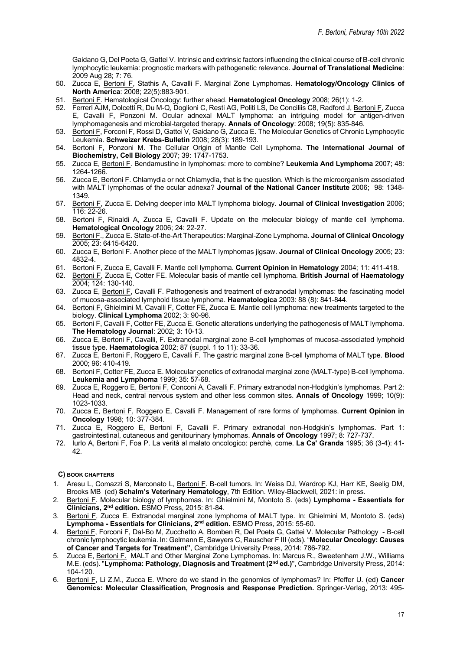Gaidano G, Del Poeta G, Gattei V. Intrinsic and extrinsic factors influencing the clinical course of B-cell chronic lymphocytic leukemia: prognostic markers with pathogenetic relevance. **Journal of Translational Medicine**: 2009 Aug 28; 7: 76.

- 50. Zucca E, Bertoni F, Stathis A, Cavalli F. Marginal Zone Lymphomas. **Hematology/Oncology Clinics of North America**: 2008; 22(5):883-901.
- 51. Bertoni F. Hematological Oncology: further ahead. **Hematological Oncology** 2008; 26(1): 1-2.
- 52. Ferreri AJM, Dolcetti R, Du M-Q, Doglioni C, Resti AG, Politi LS, De Conciliis C8, Radford J, Bertoni F, Zucca E, Cavalli F, Ponzoni M. Ocular adnexal MALT lymphoma: an intriguing model for antigen-driven lymphomagenesis and microbial-targeted therapy. **Annals of Oncology**: 2008; 19(5): 835-846.
- 53. Bertoni F, Forconi F, Rossi D, Gattei V, Gaidano G, Zucca E. The Molecular Genetics of Chronic Lymphocytic Leukemia. **Schweizer Krebs-Bulletin** 2008; 28(3): 189-193.
- 54. Bertoni F, Ponzoni M. The Cellular Origin of Mantle Cell Lymphoma. **The International Journal of Biochemistry, Cell Biology** 2007; 39: 1747-1753.
- 55. Zucca E, Bertoni F. Bendamustine in lymphomas: more to combine? **Leukemia And Lymphoma** 2007; 48: 1264-1266.
- 56. Zucca E, Bertoni F. Chlamydia or not Chlamydia, that is the question. Which is the microorganism associated with MALT lymphomas of the ocular adnexa? **Journal of the National Cancer Institute** 2006; 98: 1348- 1349.
- 57. Bertoni F, Zucca E. Delving deeper into MALT lymphoma biology. **Journal of Clinical Investigation** 2006; 116: 22-26.
- 58. Bertoni F, Rinaldi A, Zucca E*,* Cavalli F. Update on the molecular biology of mantle cell lymphoma. **Hematological Oncology** 2006; 24: 22-27.
- 59. Bertoni F., Zucca E. State-of-the-Art Therapeutics: Marginal-Zone Lymphoma. **Journal of Clinical Oncology**  2005; 23: 6415-6420.
- 60. Zucca E, Bertoni F. Another piece of the MALT lymphomas jigsaw. **Journal of Clinical Oncology** 2005; 23: 4832-4.
- 61. Bertoni F, Zucca E, Cavalli F. Mantle cell lymphoma. **Current Opinion in Hematology** 2004; 11: 411-418.
- 62. Bertoni F, Zucca E, Cotter FE. Molecular basis of mantle cell lymphoma. **British Journal of Haematology**  2004; 124: 130-140.
- 63. Zucca E, Bertoni F, Cavalli F. Pathogenesis and treatment of extranodal lymphomas: the fascinating model of mucosa-associated lymphoid tissue lymphoma. **Haematologica** 2003: 88 (8): 841-844.
- 64. Bertoni F, Ghielmini M, Cavalli F, Cotter FE, Zucca E. Mantle cell lymphoma: new treatments targeted to the biology. **Clinical Lymphoma** 2002; 3: 90-96.
- 65. Bertoni F, Cavalli F, Cotter FE, Zucca E. Genetic alterations underlying the pathogenesis of MALT lymphoma. **The Hematology Journal**: 2002; 3: 10-13.
- 66. Zucca E, Bertoni F, Cavalli, F. Extranodal marginal zone B-cell lymphomas of mucosa-associated lymphoid tissue type. **Haematologica** 2002; 87 (suppl. 1 to 11): 33-36.
- 67. Zucca E, Bertoni F, Roggero E, Cavalli F. The gastric marginal zone B-cell lymphoma of MALT type. **Blood** 2000; 96: 410-419.
- 68. Bertoni F, Cotter FE, Zucca E. Molecular genetics of extranodal marginal zone (MALT-type) B-cell lymphoma. **Leukemia and Lymphoma** 1999; 35: 57-68.
- 69. Zucca E, Roggero E, Bertoni F, Conconi A, Cavalli F. Primary extranodal non-Hodgkin's lymphomas. Part 2: Head and neck, central nervous system and other less common sites. **Annals of Oncology** 1999; 10(9): 1023-1033.
- 70. Zucca E, Bertoni F, Roggero E, Cavalli F. Management of rare forms of lymphomas. **Current Opinion in Oncology** 1998; 10: 377-384.
- 71. Zucca E, Roggero E, Bertoni F, Cavalli F. Primary extranodal non-Hodgkin's lymphomas. Part 1: gastrointestinal, cutaneous and genitourinary lymphomas. **Annals of Oncology** 1997; 8: 727-737.
- 72. Iurlo A, Bertoni F, Foa P. La verità al malato oncologico: perchè, come. **La Ca' Granda** 1995; 36 (3-4): 41- 42.

#### **C) BOOK CHAPTERS**

- 1. Aresu L, Comazzi S, Marconato L, Bertoni F. B-cell tumors. In: Weiss DJ, Wardrop KJ, Harr KE, Seelig DM, Brooks MB (ed) **Schalm's Veterinary Hematology**, 7th Edition. Wiley-Blackwell, 2021: in press.
- 2. Bertoni F. Molecular biology of lymphomas. In: Ghielmini M, Montoto S. (eds) **Lymphoma - Essentials for Clinicians, 2nd edition.** ESMO Press, 2015: 81-84.
- 3. Bertoni F, Zucca E. Extranodal marginal zone lymphoma of MALT type. In: Ghielmini M, Montoto S. (eds) **Lymphoma - Essentials for Clinicians, 2nd edition.** ESMO Press, 2015: 55-60.
- 4. Bertoni F, Forconi F, Dal-Bo M, Zucchetto A, Bomben R, Del Poeta G, Gattei V. Molecular Pathology B-cell chronic lymphocytic leukemia. In: Gelmann E, Sawyers C, Rauscher F III (eds). "**Molecular Oncology: Causes of Cancer and Targets for Treatment"**, Cambridge University Press, 2014: 786-792.
- 5. Zucca E, **Bertoni F.** MALT and Other Marginal Zone Lymphomas. In: Marcus R., Sweetenham J.W., Williams M.E. (eds). "**Lymphoma: Pathology, Diagnosis and Treatment (2nd ed.)**", Cambridge University Press, 2014: 104-120.
- 6. Bertoni F, Li Z.M., Zucca E. Where do we stand in the genomics of lymphomas? In: Pfeffer U. (ed) **Cancer Genomics: Molecular Classification, Prognosis and Response Prediction.** Springer-Verlag, 2013: 495-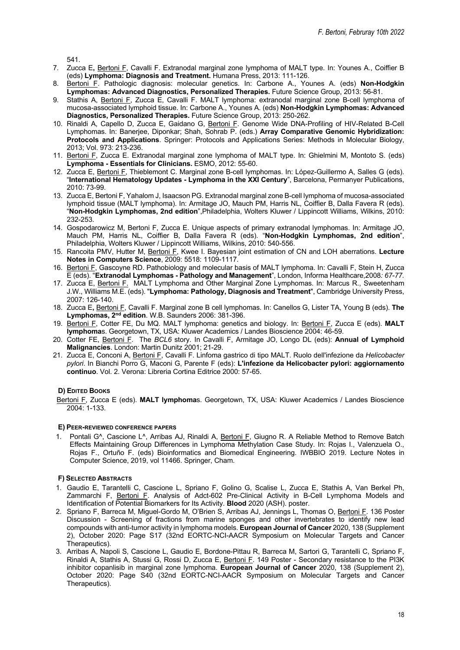541.

- 7. Zucca E**,** Bertoni F, Cavalli F. Extranodal marginal zone lymphoma of MALT type. In: Younes A., Coiffier B (eds) **Lymphoma: Diagnosis and Treatment.** Humana Press, 2013: 111-126.
- 8. Bertoni F. Pathologic diagnosis: molecular genetics. In: Carbone A., Younes A. (eds) **Non-Hodgkin Lymphomas: Advanced Diagnostics, Personalized Therapies.** Future Science Group, 2013: 56-81.
- 9. Stathis A, Bertoni F, Zucca E, Cavalli F. MALT lymphoma: extranodal marginal zone B-cell lymphoma of mucosa-associated lymphoid tissue. In: Carbone A., Younes A. (eds) **Non-Hodgkin Lymphomas: Advanced Diagnostics, Personalized Therapies.** Future Science Group, 2013: 250-262.
- 10. Rinaldi A, Capello D, Zucca E, Gaidano G, Bertoni F. Genome Wide DNA-Profiling of HIV-Related B-Cell Lymphomas. In: Banerjee, Diponkar; Shah, Sohrab P. (eds.) **Array Comparative Genomic Hybridization: Protocols and Applications**. Springer: Protocols and Applications Series: Methods in Molecular Biology, 2013; Vol. 973: 213-236.
- 11. Bertoni F, Zucca E. Extranodal marginal zone lymphoma of MALT type. In: Ghielmini M, Montoto S. (eds) **Lymphoma - Essentials for Clinicians.** ESMO, 2012: 55-60.
- 12. Zucca E, Bertoni F, Thieblemont C. Marginal zone B-cell lymphomas. In: López-Guillermo A, Salles G (eds). "**International Hematology Updates - Lymphoma in the XXI Century**", Barcelona, Permanyer Publications, 2010: 73-99.
- 13. Zucca E, Bertoni F, Yahalom J, Isaacson PG. Extranodal marginal zone B-cell lymphoma of mucosa-associated lymphoid tissue (MALT lymphoma). In: Armitage JO, Mauch PM, Harris NL, Coiffier B, Dalla Favera R (eds). "**Non-Hodgkin Lymphomas, 2nd edition**",Philadelphia, Wolters Kluwer / Lippincott Williams, Wilkins, 2010: 232-253.
- 14. Gospodarowicz M, Bertoni F, Zucca E. Unique aspects of primary extranodal lymphomas. In: Armitage JO, Mauch PM, Harris NL, Coiffier B, Dalla Favera R (eds). "**Non-Hodgkin Lymphomas, 2nd edition**", Philadelphia, Wolters Kluwer / Lippincott Williams, Wilkins, 2010: 540-556.
- 15. Rancoita PMV, Hutter M, Bertoni F, Kwee I. Bayesian joint estimation of CN and LOH aberrations. **Lecture Notes in Computers Science**, 2009: 5518: 1109-1117*.*
- 16. Bertoni F, Gascoyne RD. Pathobiology and molecular basis of MALT lymphoma. In: Cavalli F, Stein H, Zucca E (eds). "**Extranodal Lymphomas - Pathology and Management**", London, Informa Healthcare,2008*: 67-77.*
- 17. Zucca E, Bertoni F. MALT Lymphoma and Other Marginal Zone Lymphomas. In: Marcus R., Sweetenham J.W., Williams M.E. (eds). "**Lymphoma: Pathology, Diagnosis and Treatment**", Cambridge University Press, 2007: 126-140.
- 18. Zucca E**,** Bertoni F, Cavalli F. Marginal zone B cell lymphomas. In: Canellos G, Lister TA, Young B (eds). **The Lymphomas, 2nd edition**. W.B. Saunders 2006: 381-396.
- 19. Bertoni F, Cotter FE, Du MQ. MALT lymphoma: genetics and biology. In: Bertoni F, Zucca E (eds). **MALT lymphoma**s. Georgetown, TX, USA: Kluwer Academics / Landes Bioscience 2004: 46-59.
- 20. Cotter FE, Bertoni F. The *BCL6* story. In Cavalli F, Armitage JO, Longo DL (eds): **Annual of Lymphoid Malignancies**. London: Martin Dunitz 2001; 21-29.
- 21. Zucca E, Conconi A, Bertoni F, Cavalli F. Linfoma gastrico di tipo MALT. Ruolo dell'infezione da *Helicobacter pylori*. In Bianchi Porro G, Maconi G, Parente F (eds): **L'infezione da Helicobacter pylori: aggiornamento continuo**. Vol. 2. Verona: Libreria Cortina Editrice 2000: 57-65.

# **D) EDITED BOOKS**

Bertoni F, Zucca E (eds). **MALT lymphoma**s. Georgetown, TX, USA: Kluwer Academics / Landes Bioscience 2004: 1-133.

# **E) PEER-REVIEWED CONFERENCE PAPERS**

1. Pontali G^, Cascione L^, Arribas AJ, Rinaldi A, Bertoni F, Giugno R. A Reliable Method to Remove Batch Effects Maintaining Group Differences in Lymphoma Methylation Case Study. In: Rojas I., Valenzuela O., Rojas F., Ortuño F. (eds) Bioinformatics and Biomedical Engineering. IWBBIO 2019. Lecture Notes in Computer Science, 2019, vol 11466. Springer, Cham.

# **F) SELECTED ABSTRACTS**

- 1. Gaudio E, Tarantelli C, Cascione L, Spriano F, Golino G, Scalise L, Zucca E, Stathis A, Van Berkel Ph, Zammarchi F, Bertoni F. Analysis of Adct-602 Pre-Clinical Activity in B-Cell Lymphoma Models and Identification of Potential Biomarkers for Its Activity. **Blood** 2020 (ASH). poster.
- 2. Spriano F, Barreca M, Miguel-Gordo M, O'Brien S, Arribas AJ, Jennings L, Thomas O, Bertoni F. 136 Poster Discussion - Screening of fractions from marine sponges and other invertebrates to identify new lead compounds with anti-tumor activity in lymphoma models. **European Journal of Cancer** 2020, 138 (Supplement 2), October 2020: Page S17 (32nd EORTC-NCI-AACR Symposium on Molecular Targets and Cancer Therapeutics).
- 3. Arribas A, Napoli S, Cascione L, Gaudio E, Bordone-Pittau R, Barreca M, Sartori G, Tarantelli C, Spriano F, Rinaldi A, Stathis A, Stussi G, Rossi D, Zucca E, Bertoni F. 149 Poster - Secondary resistance to the PI3K inhibitor copanlisib in marginal zone lymphoma. **European Journal of Cancer** 2020, 138 (Supplement 2), October 2020: Page S40 (32nd EORTC-NCI-AACR Symposium on Molecular Targets and Cancer Therapeutics).